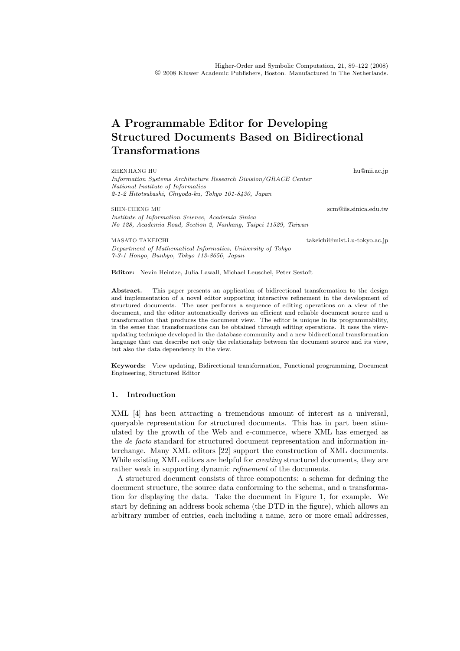# **A Programmable Editor for Developing Structured Documents Based on Bidirectional Transformations**

ZHENJIANG HU hu@nii.ac.jp

*Information Systems Architecture Research Division/GRACE Center National Institute of Informatics 2-1-2 Hitotsubashi, Chiyoda-ku, Tokyo 101-8430, Japan*

SHIN-CHENG MU *Institute of Information Science, Academia Sinica No 128, Academia Road, Section 2, Nankang, Taipei 11529, Taiwan*

MASATO TAKEICHI takeichi@mist.i.u-tokyo.ac.jp *Department of Mathematical Informatics, University of Tokyo 7-3-1 Hongo, Bunkyo, Tokyo 113-8656, Japan*

**Editor:** Nevin Heintze, Julia Lawall, Michael Leuschel, Peter Sestoft

Abstract. This paper presents an application of bidirectional transformation to the design and implementation of a novel editor supporting interactive refinement in the development of structured documents. The user performs a sequence of editing operations on a view of the document, and the editor automatically derives an efficient and reliable document source and a transformation that produces the document view. The editor is unique in its programmability, in the sense that transformations can be obtained through editing operations. It uses the viewupdating technique developed in the database community and a new bidirectional transformation language that can describe not only the relationship between the document source and its view, but also the data dependency in the view.

**Keywords:** View updating, Bidirectional transformation, Functional programming, Document Engineering, Structured Editor

## **1. Introduction**

XML [4] has been attracting a tremendous amount of interest as a universal, queryable representation for structured documents. This has in part been stimulated by the growth of the Web and e-commerce, where XML has emerged as the *de facto* standard for structured document representation and information interchange. Many XML editors [22] support the construction of XML documents. While existing XML editors are helpful for *creating* structured documents, they are rather weak in supporting dynamic *refinement* of the documents.

A structured document consists of three components: a schema for defining the document structure, the source data conforming to the schema, and a transformation for displaying the data. Take the document in Figure 1, for example. We start by defining an address book schema (the DTD in the figure), which allows an arbitrary number of entries, each including a name, zero or more email addresses,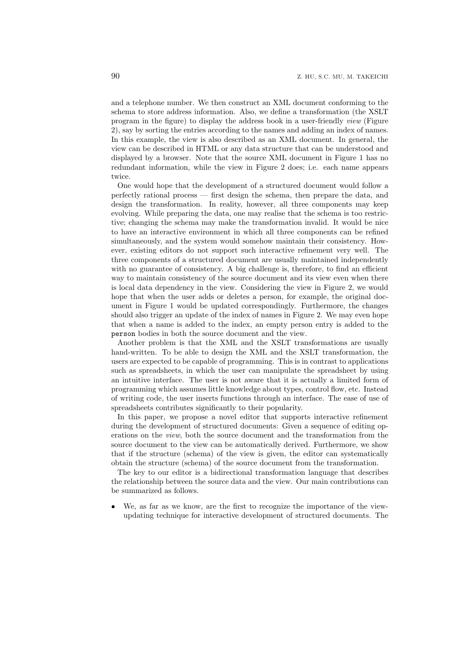and a telephone number. We then construct an XML document conforming to the schema to store address information. Also, we define a transformation (the XSLT program in the figure) to display the address book in a user-friendly *view* (Figure 2), say by sorting the entries according to the names and adding an index of names. In this example, the view is also described as an XML document. In general, the view can be described in HTML or any data structure that can be understood and displayed by a browser. Note that the source XML document in Figure 1 has no redundant information, while the view in Figure 2 does; i.e. each name appears twice.

One would hope that the development of a structured document would follow a perfectly rational process — first design the schema, then prepare the data, and design the transformation. In reality, however, all three components may keep evolving. While preparing the data, one may realise that the schema is too restrictive; changing the schema may make the transformation invalid. It would be nice to have an interactive environment in which all three components can be refined simultaneously, and the system would somehow maintain their consistency. However, existing editors do not support such interactive refinement very well. The three components of a structured document are usually maintained independently with no guarantee of consistency. A big challenge is, therefore, to find an efficient way to maintain consistency of the source document and its view even when there is local data dependency in the view. Considering the view in Figure 2, we would hope that when the user adds or deletes a person, for example, the original document in Figure 1 would be updated correspondingly. Furthermore, the changes should also trigger an update of the index of names in Figure 2. We may even hope that when a name is added to the index, an empty person entry is added to the person bodies in both the source document and the view.

Another problem is that the XML and the XSLT transformations are usually hand-written. To be able to design the XML and the XSLT transformation, the users are expected to be capable of programming. This is in contrast to applications such as spreadsheets, in which the user can manipulate the spreadsheet by using an intuitive interface. The user is not aware that it is actually a limited form of programming which assumes little knowledge about types, control flow, etc. Instead of writing code, the user inserts functions through an interface. The ease of use of spreadsheets contributes significantly to their popularity.

In this paper, we propose a novel editor that supports interactive refinement during the development of structured documents: Given a sequence of editing operations on the *view*, both the source document and the transformation from the source document to the view can be automatically derived. Furthermore, we show that if the structure (schema) of the view is given, the editor can systematically obtain the structure (schema) of the source document from the transformation.

The key to our editor is a bidirectional transformation language that describes the relationship between the source data and the view. Our main contributions can be summarized as follows.

We, as far as we know, are the first to recognize the importance of the viewupdating technique for interactive development of structured documents. The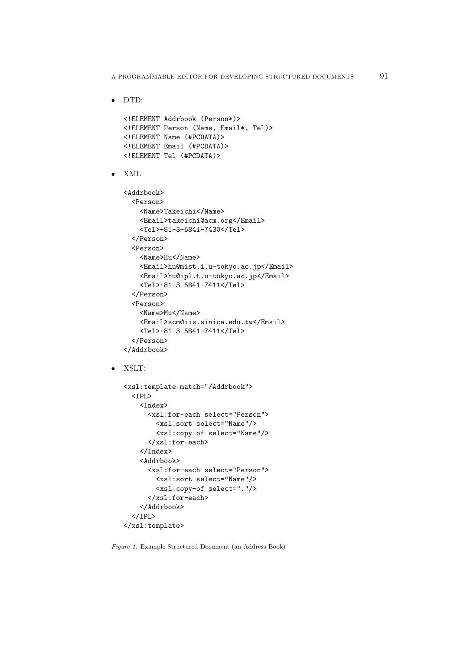*•* DTD:

```
<!ELEMENT Addrbook (Person*)>
   <!ELEMENT Person (Name, Email*, Tel)>
   <!ELEMENT Name (#PCDATA)>
   <!ELEMENT Email (#PCDATA)>
   <!ELEMENT Tel (#PCDATA)>
• XML
   <Addrbook>
     <Person>
       <Name>Takeichi</Name>
       <Email>takeichi@acm.org</Email>
       <Tel>+81-3-5841-7430</Tel>
     </Person>
     <Person>
       <Name>Hu</Name>
       <Email>hu@mist.i.u-tokyo.ac.jp</Email>
       <Email>hu@ipl.t.u-tokyo.ac.jp</Email>
       <Tel>+81-3-5841-7411</Tel>
     </Person>
     <Person>
       <Name>Mu</Name>
       <Email>scm@iis.sinica.edu.tw</Email>
       <Tel>+81-3-5841-7411</Tel>
     </Person>
   </Addrbook>
```
*•* XSLT:

```
<xsl:template match="/Addrbook">
  <TPL><Index>
      <xsl:for-each select="Person">
        <xsl:sort select="Name"/>
        <xsl:copy-of select="Name"/>
      </xsl:for-each>
    </Index>
    <Addrbook>
      <xsl:for-each select="Person">
        <xsl:sort select="Name"/>
        <xsl:copy-of select="."/>
      </xsl:for-each>
    </Addrbook>
  </IPL>
</xsl:template>
```
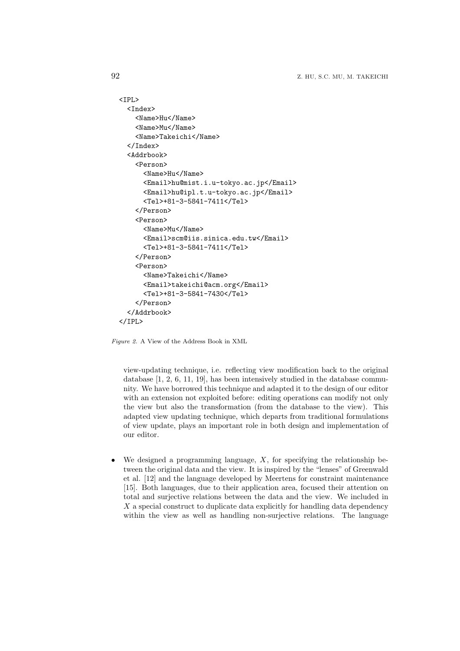```
<IPL>
  <Index>
    <Name>Hu</Name>
    <Name>Mu</Name>
    <Name>Takeichi</Name>
  </Index>
  <Addrbook>
    <Person>
      <Name>Hu</Name>
      <Email>hu@mist.i.u-tokyo.ac.jp</Email>
      <Email>hu@ipl.t.u-tokyo.ac.jp</Email>
      <Tel>+81-3-5841-7411</Tel>
    </Person>
    <Person>
      <Name>Mu</Name>
      <Email>scm@iis.sinica.edu.tw</Email>
      <Tel>+81-3-5841-7411</Tel>
    </Person>
    <Person>
      <Name>Takeichi</Name>
      <Email>takeichi@acm.org</Email>
      <Tel>+81-3-5841-7430</Tel>
    </Person>
  </Addrbook>
</IPL>
```
*Figure 2.* A View of the Address Book in XML

view-updating technique, i.e. reflecting view modification back to the original database [1, 2, 6, 11, 19], has been intensively studied in the database community. We have borrowed this technique and adapted it to the design of our editor with an extension not exploited before: editing operations can modify not only the view but also the transformation (from the database to the view). This adapted view updating technique, which departs from traditional formulations of view update, plays an important role in both design and implementation of our editor.

*•* We designed a programming language, *X*, for specifying the relationship between the original data and the view. It is inspired by the "lenses" of Greenwald et al. [12] and the language developed by Meertens for constraint maintenance [15]. Both languages, due to their application area, focused their attention on total and surjective relations between the data and the view. We included in *X* a special construct to duplicate data explicitly for handling data dependency within the view as well as handling non-surjective relations. The language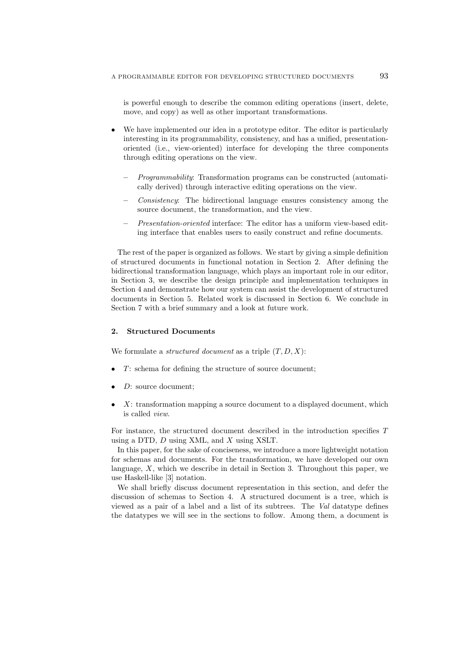is powerful enough to describe the common editing operations (insert, delete, move, and copy) as well as other important transformations.

- We have implemented our idea in a prototype editor. The editor is particularly interesting in its programmability, consistency, and has a unified, presentationoriented (i.e., view-oriented) interface for developing the three components through editing operations on the view.
	- **–** *Programmability*: Transformation programs can be constructed (automatically derived) through interactive editing operations on the view.
	- **–** *Consistency*: The bidirectional language ensures consistency among the source document, the transformation, and the view.
	- **–** *Presentation-oriented* interface: The editor has a uniform view-based editing interface that enables users to easily construct and refine documents.

The rest of the paper is organized as follows. We start by giving a simple definition of structured documents in functional notation in Section 2. After defining the bidirectional transformation language, which plays an important role in our editor, in Section 3, we describe the design principle and implementation techniques in Section 4 and demonstrate how our system can assist the development of structured documents in Section 5. Related work is discussed in Section 6. We conclude in Section 7 with a brief summary and a look at future work.

## **2. Structured Documents**

We formulate a *structured document* as a triple (*T, D, X*):

- *T*: schema for defining the structure of source document;
- *<i>D*: source document:
- *X*: transformation mapping a source document to a displayed document, which is called *view*.

For instance, the structured document described in the introduction specifies *T* using a DTD, *D* using XML, and *X* using XSLT.

In this paper, for the sake of conciseness, we introduce a more lightweight notation for schemas and documents. For the transformation, we have developed our own language, *X*, which we describe in detail in Section 3. Throughout this paper, we use Haskell-like [3] notation.

We shall briefly discuss document representation in this section, and defer the discussion of schemas to Section 4. A structured document is a tree, which is viewed as a pair of a label and a list of its subtrees. The *Val* datatype defines the datatypes we will see in the sections to follow. Among them, a document is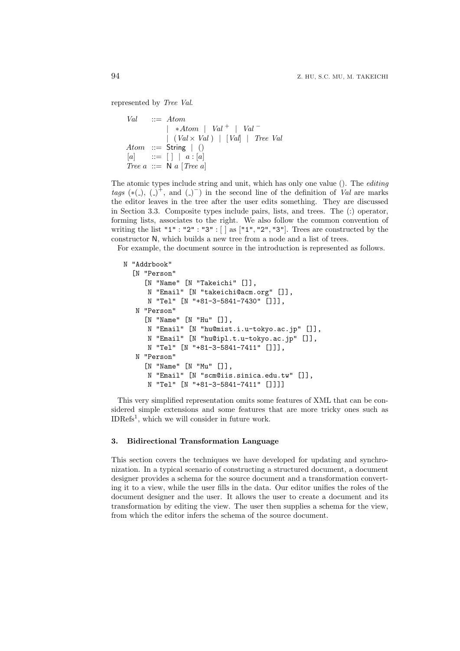represented by *Tree Val*.

```
Val ::= Atom
           | ∗Atom | Val + | Val −
             | (Val × Val ) | [Val] | Tree Val
Atom ::= String | ()
[a] ::= [ \ ] \ [ \ a : [a]Tree a ::= N a [Tree a]
```
The atomic types include string and unit, which has only one value (). The *editing tags*  $(*(.) , (-)$ <sup>+</sup>, and  $(-)$ <sup>-</sup>) in the second line of the definition of *Val* are marks the editor leaves in the tree after the user edits something. They are discussed in Section 3.3. Composite types include pairs, lists, and trees. The (:) operator, forming lists, associates to the right. We also follow the common convention of writing the list "1" : "2" : "3" : [ ] as ["1"*,* "2"*,* "3"]. Trees are constructed by the constructor N, which builds a new tree from a node and a list of trees.

For example, the document source in the introduction is represented as follows.

```
N "Addrbook"
  [N "Person"
     [N "Name" [N "Takeichi" []],
      N "Email" [N "takeichi@acm.org" []],
      N "Tel" [N "+81-3-5841-7430" []]],
   N "Person"
     [N "Name" [N "Hu" []],
      N "Email" [N "hu@mist.i.u-tokyo.ac.jp" []],
      N "Email" [N "hu@ipl.t.u-tokyo.ac.jp" []],
      N "Tel" [N "+81-3-5841-7411" []]],
   N "Person"
     [N "Name" [N "Mu" []],
      N "Email" [N "scm@iis.sinica.edu.tw" []],
      N "Tel" [N "+81-3-5841-7411" []]]]
```
This very simplified representation omits some features of XML that can be considered simple extensions and some features that are more tricky ones such as IDRefs<sup>1</sup> , which we will consider in future work.

## **3. Bidirectional Transformation Language**

This section covers the techniques we have developed for updating and synchronization. In a typical scenario of constructing a structured document, a document designer provides a schema for the source document and a transformation converting it to a view, while the user fills in the data. Our editor unifies the roles of the document designer and the user. It allows the user to create a document and its transformation by editing the view. The user then supplies a schema for the view, from which the editor infers the schema of the source document.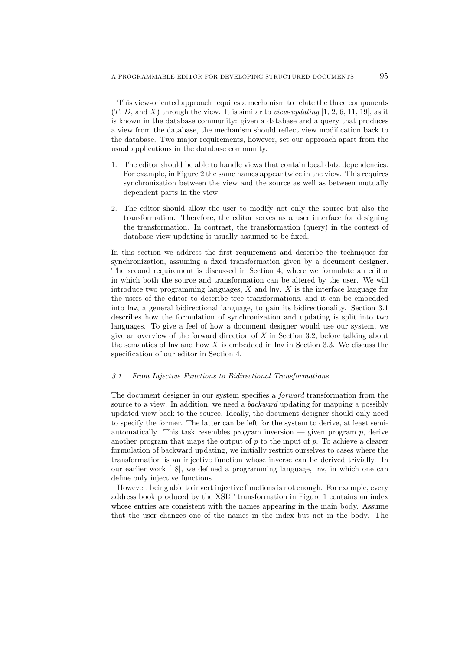This view-oriented approach requires a mechanism to relate the three components  $(T, D, \text{ and } X)$  through the view. It is similar to *view-updating* [1, 2, 6, 11, 19], as it is known in the database community: given a database and a query that produces a view from the database, the mechanism should reflect view modification back to the database. Two major requirements, however, set our approach apart from the usual applications in the database community.

- 1. The editor should be able to handle views that contain local data dependencies. For example, in Figure 2 the same names appear twice in the view. This requires synchronization between the view and the source as well as between mutually dependent parts in the view.
- 2. The editor should allow the user to modify not only the source but also the transformation. Therefore, the editor serves as a user interface for designing the transformation. In contrast, the transformation (query) in the context of database view-updating is usually assumed to be fixed.

In this section we address the first requirement and describe the techniques for synchronization, assuming a fixed transformation given by a document designer. The second requirement is discussed in Section 4, where we formulate an editor in which both the source and transformation can be altered by the user. We will introduce two programming languages, *X* and Inv. *X* is the interface language for the users of the editor to describe tree transformations, and it can be embedded into Inv, a general bidirectional language, to gain its bidirectionality. Section 3.1 describes how the formulation of synchronization and updating is split into two languages. To give a feel of how a document designer would use our system, we give an overview of the forward direction of *X* in Section 3.2, before talking about the semantics of Inv and how *X* is embedded in Inv in Section 3.3. We discuss the specification of our editor in Section 4.

## *3.1. From Injective Functions to Bidirectional Transformations*

The document designer in our system specifies a *forward* transformation from the source to a view. In addition, we need a *backward* updating for mapping a possibly updated view back to the source. Ideally, the document designer should only need to specify the former. The latter can be left for the system to derive, at least semiautomatically. This task resembles program inversion — given program  $p$ , derive another program that maps the output of  $p$  to the input of  $p$ . To achieve a clearer formulation of backward updating, we initially restrict ourselves to cases where the transformation is an injective function whose inverse can be derived trivially. In our earlier work [18], we defined a programming language, Inv, in which one can define only injective functions.

However, being able to invert injective functions is not enough. For example, every address book produced by the XSLT transformation in Figure 1 contains an index whose entries are consistent with the names appearing in the main body. Assume that the user changes one of the names in the index but not in the body. The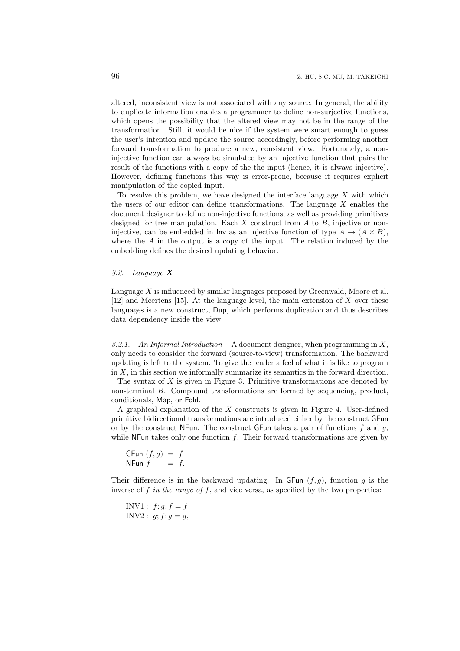altered, inconsistent view is not associated with any source. In general, the ability to duplicate information enables a programmer to define non-surjective functions, which opens the possibility that the altered view may not be in the range of the transformation. Still, it would be nice if the system were smart enough to guess the user's intention and update the source accordingly, before performing another forward transformation to produce a new, consistent view. Fortunately, a noninjective function can always be simulated by an injective function that pairs the result of the functions with a copy of the the input (hence, it is always injective). However, defining functions this way is error-prone, because it requires explicit manipulation of the copied input.

To resolve this problem, we have designed the interface language *X* with which the users of our editor can define transformations. The language *X* enables the document designer to define non-injective functions, as well as providing primitives designed for tree manipulation. Each *X* construct from *A* to *B*, injective or noninjective, can be embedded in lnv as an injective function of type  $A \rightarrow (A \times B)$ , where the *A* in the output is a copy of the input. The relation induced by the embedding defines the desired updating behavior.

#### *3.2. Language X*

Language *X* is influenced by similar languages proposed by Greenwald, Moore et al. [12] and Meertens [15]. At the language level, the main extension of *X* over these languages is a new construct, Dup, which performs duplication and thus describes data dependency inside the view.

*3.2.1. An Informal Introduction* A document designer, when programming in *X*, only needs to consider the forward (source-to-view) transformation. The backward updating is left to the system. To give the reader a feel of what it is like to program in *X*, in this section we informally summarize its semantics in the forward direction.

The syntax of *X* is given in Figure 3. Primitive transformations are denoted by non-terminal *B*. Compound transformations are formed by sequencing, product, conditionals, Map, or Fold.

A graphical explanation of the *X* constructs is given in Figure 4. User-defined primitive bidirectional transformations are introduced either by the construct GFun or by the construct NFun. The construct GFun takes a pair of functions *f* and *g*, while NFun takes only one function *f*. Their forward transformations are given by

```
GFun (f,g) = fNFun f = f.
```
Their difference is in the backward updating. In  $GFun (f, g)$ , function  $g$  is the inverse of  $f$  *in the range of*  $f$ , and vice versa, as specified by the two properties:

INV1 :  $f; g; f = f$  $INV2: g; f; g = g$ ,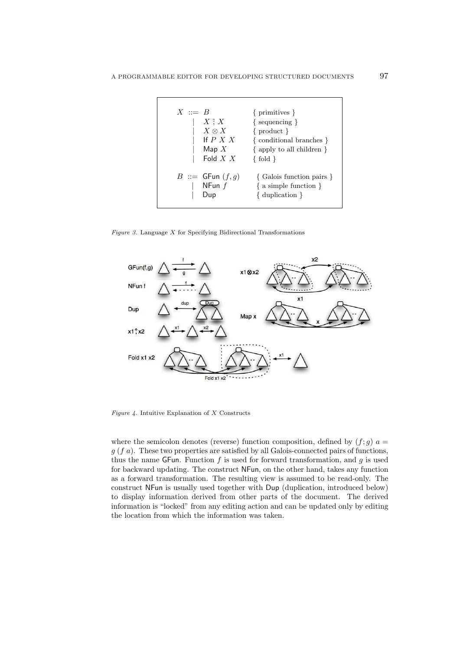

*Figure 3.* Language *X* for Specifying Bidirectional Transformations



*Figure 4.* Intuitive Explanation of *X* Constructs

where the semicolon denotes (reverse) function composition, defined by  $(f; g)$  *a* = *g* (*f a*). These two properties are satisfied by all Galois-connected pairs of functions, thus the name GFun. Function *f* is used for forward transformation, and *g* is used for backward updating. The construct NFun, on the other hand, takes any function as a forward transformation. The resulting view is assumed to be read-only. The construct NFun is usually used together with Dup (duplication, introduced below) to display information derived from other parts of the document. The derived information is "locked" from any editing action and can be updated only by editing the location from which the information was taken.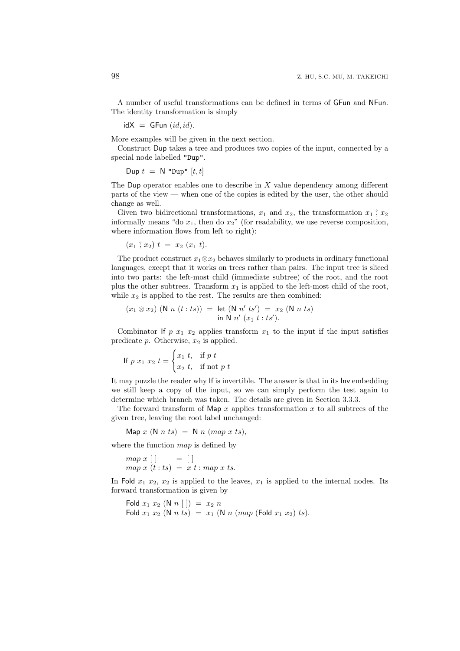A number of useful transformations can be defined in terms of GFun and NFun. The identity transformation is simply

 $idX = GFun (id, id).$ 

More examples will be given in the next section.

Construct Dup takes a tree and produces two copies of the input, connected by a special node labelled "Dup".

 $\text{Dup } t = \text{N }$  "Dup"  $[t, t]$ 

The Dup operator enables one to describe in *X* value dependency among different parts of the view — when one of the copies is edited by the user, the other should change as well.

Given two bidirectional transformations,  $x_1$  and  $x_2$ , the transformation  $x_1$ ;  $x_2$ informally means "do  $x_1$ , then do  $x_2$ " (for readability, we use reverse composition, where information flows from left to right):

$$
(x_1 \t; x_2) t = x_2 (x_1 t).
$$

The product construct  $x_1 \otimes x_2$  behaves similarly to products in ordinary functional languages, except that it works on trees rather than pairs. The input tree is sliced into two parts: the left-most child (immediate subtree) of the root, and the root plus the other subtrees. Transform *x*<sup>1</sup> is applied to the left-most child of the root, while  $x_2$  is applied to the rest. The results are then combined:

$$
(x_1 \otimes x_2) \quad (\mathsf{N} \quad n \ (t : ts)) = \mathsf{let} \ (\mathsf{N} \quad n' \; ts') = x_2 \ (\mathsf{N} \quad n \; ts)
$$
\n
$$
\mathsf{in} \ \mathsf{N} \ n' \ (x_1 \ t : ts').
$$

Combinator If  $p$   $x_1$   $x_2$  applies transform  $x_1$  to the input if the input satisfies predicate *p*. Otherwise, *x*<sup>2</sup> is applied.

If 
$$
p x_1 x_2 t =
$$

$$
\begin{cases} x_1 t, & \text{if } p t \\ x_2 t, & \text{if } \text{not } p t \end{cases}
$$

It may puzzle the reader why If is invertible. The answer is that in its Inv embedding we still keep a copy of the input, so we can simply perform the test again to determine which branch was taken. The details are given in Section 3.3.3.

The forward transform of Map *x* applies transformation *x* to all subtrees of the given tree, leaving the root label unchanged:

 $\text{Map } x \text{ (N } n \text{ ts)} = \text{N } n \text{ (map } x \text{ ts)},$ 

where the function *map* is defined by

*map*  $x$   $\begin{bmatrix} \end{bmatrix} = \begin{bmatrix} \end{bmatrix}$ *map*  $x(t:ts) = x t : map x ts.$ 

In Fold  $x_1$   $x_2$ ,  $x_2$  is applied to the leaves,  $x_1$  is applied to the internal nodes. Its forward transformation is given by

```
Fold x_1 x_2 (N n [ ]) = x_2 nFold x_1 x_2 (N n \text{ } ts) = x_1 (N n \text{ } (map \text{ } (\text{Fold } x_1 \text{ } x_2) \text{ } ts)).
```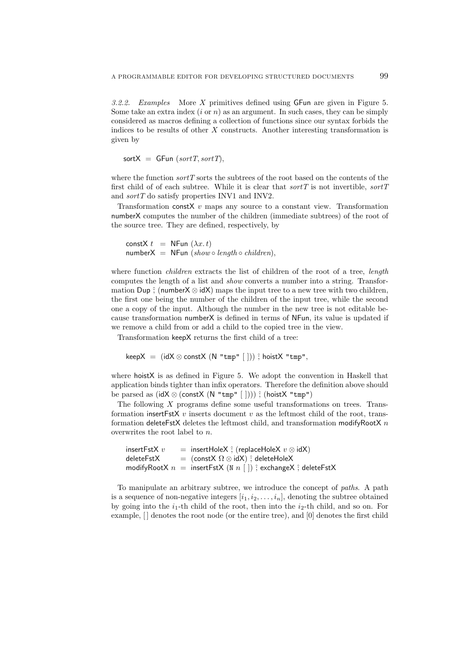*3.2.2. Examples* More *X* primitives defined using GFun are given in Figure 5. Some take an extra index  $(i \text{ or } n)$  as an argument. In such cases, they can be simply considered as macros defining a collection of functions since our syntax forbids the indices to be results of other *X* constructs. Another interesting transformation is given by

 $sortX = \text{GFun}(sortT, sortT)$ 

where the function *sortT* sorts the subtrees of the root based on the contents of the first child of of each subtree. While it is clear that *sortT* is not invertible, *sortT* and *sortT* do satisfy properties INV1 and INV2.

Transformation constX *v* maps any source to a constant view. Transformation numberX computes the number of the children (immediate subtrees) of the root of the source tree. They are defined, respectively, by

```
constX t = NFun (\lambda x. t)numberX = NFun (show \circ length \circ children),
```
where function *children* extracts the list of children of the root of a tree, *length* computes the length of a list and *show* converts a number into a string. Transformation Dup  $\hat{i}$  (number  $X \otimes idX$ ) maps the input tree to a new tree with two children, the first one being the number of the children of the input tree, while the second one a copy of the input. Although the number in the new tree is not editable because transformation numberX is defined in terms of NFun, its value is updated if we remove a child from or add a child to the copied tree in the view.

Transformation keepX returns the first child of a tree:

```
keepX = (idX ⊗ constX (N "tmp" [ ])) ˆ; hoistX "tmp",
```
where hoistX is as defined in Figure 5. We adopt the convention in Haskell that application binds tighter than infix operators. Therefore the definition above should be parsed as (idX ⊗ (constX (N "tmp" [ ])))  $\hat{ }$ ; (hoistX "tmp")

The following *X* programs define some useful transformations on trees. Transformation insertFstX *v* inserts document *v* as the leftmost child of the root, transformation deleteFstX deletes the leftmost child, and transformation modifyRootX *n* overwrites the root label to *n*.

| insert $F$ st $X$ $v$ | $=$ insertHoleX $\hat{ }$ ; (replaceHoleX $v \otimes idX$ )                              |
|-----------------------|------------------------------------------------------------------------------------------|
| deleteFstX            | $=$ (const $X \Omega \otimes idX$ ); deleteHoleX                                         |
|                       | modifyRootX $n =$ insertFstX (N $n \mid$  ) $\hat{ }$ ; exchangeX $\hat{ }$ ; deleteFstX |

To manipulate an arbitrary subtree, we introduce the concept of *paths*. A path is a sequence of non-negative integers  $[i_1, i_2, \ldots, i_n]$ , denoting the subtree obtained by going into the  $i_1$ -th child of the root, then into the  $i_2$ -th child, and so on. For example,  $\vert \vert$  denotes the root node (or the entire tree), and  $\vert 0 \vert$  denotes the first child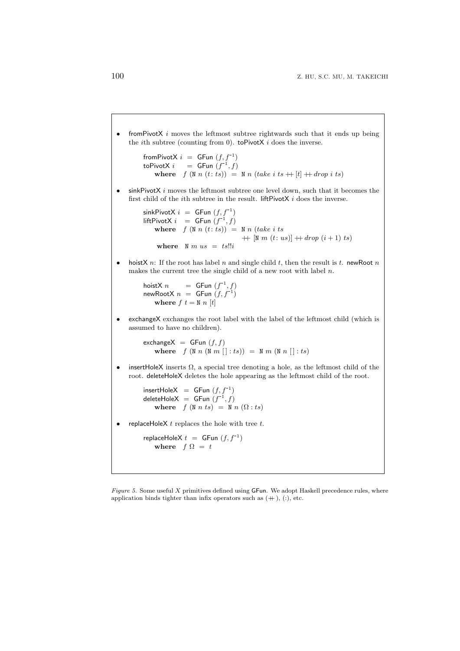*•* fromPivotX *i* moves the leftmost subtree rightwards such that it ends up being the *i*th subtree (counting from 0). toPivotX *i* does the inverse.

```
from PivotX i = GFun (f, f^{-1})\text{toPivotX} \, i = \text{GFun} \, (f^{-1}, f)where f(\mathbb{N} n(t:ts)) = \mathbb{N} n(take \, i \, ts + [t] + drop \, i \, ts)
```
*•* sinkPivotX *i* moves the leftmost subtree one level down, such that it becomes the first child of the *i*th subtree in the result. liftPivotX *i* does the inverse.

```
sinkPivotX i = GFun (f, f^{-1})\text{liftPivotX} i = \text{GFun}(f^{-1}, f)where f(\mathbb{N} n(t:ts)) = \mathbb{N} n(take \text{ } i \text{ } ts)+ [N m (t: us)] + drop (i + 1) ts)
     where N m us = ts!!i
```
*•* hoistX *n*: If the root has label *n* and single child *t*, then the result is *t*. newRoot *n* makes the current tree the single child of a new root with label *n*.

```
\begin{array}{rcl} \mathsf{hoistX} \ n & = & \mathsf{GFun} \ (f^{-1},f) \ \mathsf{newRootX} \ n & = & \mathsf{GFun} \ (f,f^{-1}) \end{array}where f t = N n [t]
```
*•* exchangeX exchanges the root label with the label of the leftmost child (which is assumed to have no children).

exchange $X = GFun (f, f)$ **where**  $f(\mathbb{N} n(\mathbb{N} m[[:ts])) = \mathbb{N} m(\mathbb{N} n[]: ts))$ 

*•* insertHoleX inserts Ω, a special tree denoting a hole, as the leftmost child of the root. deleteHoleX deletes the hole appearing as the leftmost child of the root.

 $insertHoleX = GFun (f, f^{-1})$  $\det$ **eleteHoleX** = **GFun**  $(f^{-1}, f)$ **where**  $f(N \ n \ ts) = N \ n \ (\Omega : ts)$ 

*•* replaceHoleX *t* replaces the hole with tree *t*.

 $replaceHoleX t = GFun (f, f<sup>-1</sup>)$ where  $f \Omega = t$ 

*Figure 5.* Some useful *X* primitives defined using GFun. We adopt Haskell precedence rules, where application binds tighter than infix operators such as  $(+)$ ,  $(.)$ , etc.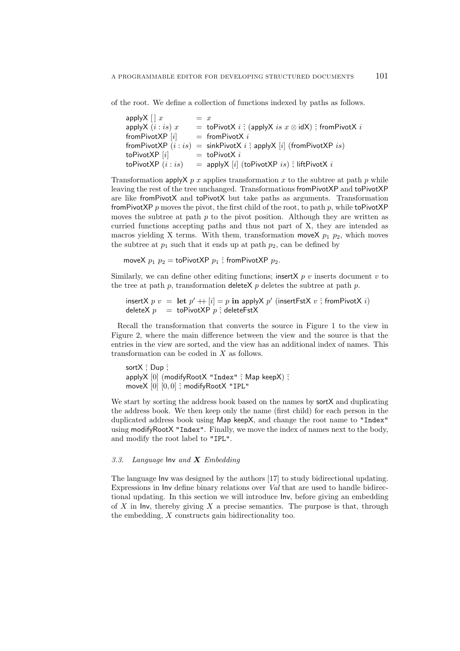of the root. We define a collection of functions indexed by paths as follows.

| apply $X \cap x$       | $= x$ |                                                                                  |
|------------------------|-------|----------------------------------------------------------------------------------|
| applyX $(i:is)$ x      |       | = toPivotX $i \hat{ }$ ; (applyX $is x \otimes idX$ ) $\hat{ }$ ; fromPivotX $i$ |
| from Pivot $XP[i]$     |       | $=$ from Pivot X i                                                               |
| from Pivot XP $(i:is)$ |       | = sinkPivotX $i$ ; applyX $[i]$ (fromPivotXP $is$ )                              |
| toPivotXP $[i]$        |       | $=$ toPivotX i                                                                   |
| toPivotXP $(i:is)$     |       | $=$ applyX [i] (toPivotXP is); liftPivotX i                                      |

Transformation apply  $X$  *p* x applies transformation x to the subtree at path *p* while leaving the rest of the tree unchanged. Transformations fromPivotXP and toPivotXP are like fromPivotX and toPivotX but take paths as arguments. Transformation fromPivotXP  $p$  moves the pivot, the first child of the root, to path  $p$ , while toPivotXP moves the subtree at path *p* to the pivot position. Although they are written as curried functions accepting paths and thus not part of X, they are intended as macros yielding X terms. With them, transformation move  $p_1$   $p_2$ , which moves the subtree at  $p_1$  such that it ends up at path  $p_2$ , can be defined by

moveX  $p_1$   $p_2$  = toPivotXP  $p_1$  ; fromPivotXP  $p_2$ .

Similarly, we can define other editing functions; insertX  $p \, v$  inserts document  $v$  to the tree at path  $p$ , transformation deleteX  $p$  deletes the subtree at path  $p$ .

```
\textsf{insertX}\; p\; v\; =\; \textsf{let}\; p' \; +\; |i|=p\; \textsf{in}\; \textsf{applyX}\; p'\; (\textsf{insertFstX}\; v\; \hat{;}\; \textsf{fromPivotX}\; i)deleteX p = toPivotXP p \hat{ }; deleteFstX
```
Recall the transformation that converts the source in Figure 1 to the view in Figure 2, where the main difference between the view and the source is that the entries in the view are sorted, and the view has an additional index of names. This transformation can be coded in *X* as follows.

sortX  $\hat{ }$ ; Dup  $\hat{ }$ ; applyX [0] (modifyRootX "Index" ; Map keepX) ; moveX [0] [0*,* 0] ˆ; modifyRootX "IPL"

We start by sorting the address book based on the names by sortX and duplicating the address book. We then keep only the name (first child) for each person in the duplicated address book using Map keepX, and change the root name to "Index" using modifyRootX "Index". Finally, we move the index of names next to the body, and modify the root label to "IPL".

# *3.3. Language* Inv *and X Embedding*

The language Inv was designed by the authors [17] to study bidirectional updating. Expressions in Inv define binary relations over *Val* that are used to handle bidirectional updating. In this section we will introduce Inv, before giving an embedding of *X* in Inv, thereby giving *X* a precise semantics. The purpose is that, through the embedding, *X* constructs gain bidirectionality too.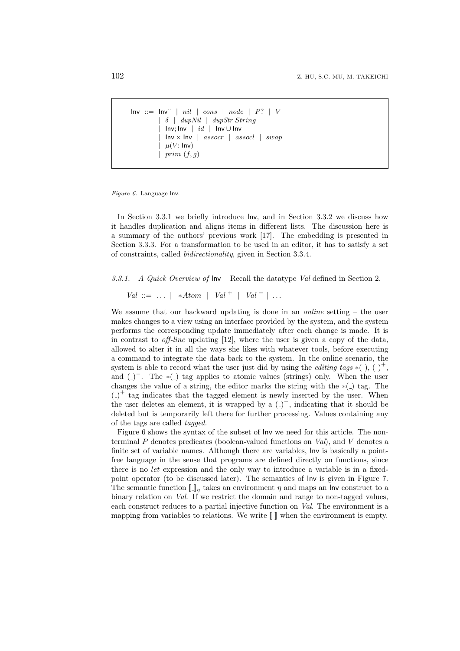```
Inv ::= Inv' | nil | cons | node | P? | V| δ | dupNil | dupStr String
          | Inv; Inv | id | Inv ∪ Inv
          | Inv × Inv | assocr | assocl | swap
          \mu(V: \text{Inv})| prim (f, g)
```
*Figure 6.* Language Inv.

In Section 3.3.1 we briefly introduce Inv, and in Section 3.3.2 we discuss how it handles duplication and aligns items in different lists. The discussion here is a summary of the authors' previous work [17]. The embedding is presented in Section 3.3.3. For a transformation to be used in an editor, it has to satisfy a set of constraints, called *bidirectionality*, given in Section 3.3.4.

*3.3.1. A Quick Overview of* Inv Recall the datatype *Val* defined in Section 2.

*Val* ::= *. . . | ∗Atom | Val* <sup>+</sup> *| Val <sup>−</sup> | . . .*

We assume that our backward updating is done in an *online* setting – the user makes changes to a view using an interface provided by the system, and the system performs the corresponding update immediately after each change is made. It is in contrast to *off-line* updating [12], where the user is given a copy of the data, allowed to alter it in all the ways she likes with whatever tools, before executing a command to integrate the data back to the system. In the online scenario, the system is able to record what the user just did by using the *editing tags*  $*($ ),  $($ )<sup>+</sup>, and  $($ )<sup>−</sup>. The \*( $\Box$ ) tag applies to atomic values (strings) only. When the user changes the value of a string, the editor marks the string with the *∗*( ) tag. The  $($ - $)^+$  tag indicates that the tagged element is newly inserted by the user. When the user deletes an element, it is wrapped by a  $($ )<sup> $-$ </sup>, indicating that it should be deleted but is temporarily left there for further processing. Values containing any of the tags are called *tagged*.

Figure 6 shows the syntax of the subset of Inv we need for this article. The nonterminal *P* denotes predicates (boolean-valued functions on *Val*), and *V* denotes a finite set of variable names. Although there are variables, Inv is basically a pointfree language in the sense that programs are defined directly on functions, since there is no *let* expression and the only way to introduce a variable is in a fixedpoint operator (to be discussed later). The semantics of Inv is given in Figure 7. The semantic function  $\llbracket \cdot \rrbracket_n$  takes an environment  $\eta$  and maps an Inv construct to a binary relation on *Val*. If we restrict the domain and range to non-tagged values, each construct reduces to a partial injective function on *Val*. The environment is a mapping from variables to relations. We write  $\Box$  when the environment is empty.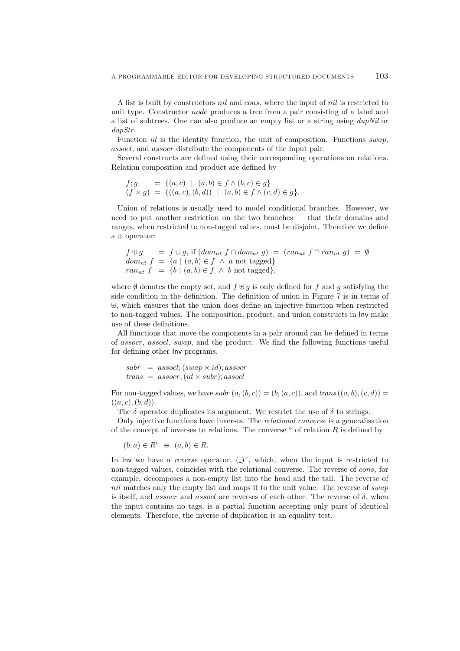A list is built by constructors *nil* and *cons*, where the input of *nil* is restricted to unit type. Constructor *node* produces a tree from a pair consisting of a label and a list of subtrees. One can also produce an empty list or a string using *dupNil* or *dupStr*.

Function *id* is the identity function, the unit of composition. Functions *swap*, *assocl*, and *assocr* distribute the components of the input pair.

Several constructs are defined using their corresponding operations on relations. Relation composition and product are defined by

$$
f; g = \{(a, c) \mid (a, b) \in f \land (b, c) \in g\}
$$
  

$$
(f \times g) = \{((a, c), (b, d)) \mid (a, b) \in f \land (c, d) \in g\}.
$$

Union of relations is usually used to model conditional branches. However, we need to put another restriction on the two branches — that their domains and ranges, when restricted to non-tagged values, must be disjoint. Therefore we define a *⊎* operator:

```
f \uplus g = f \cup g, if (dom_{nt} f \cap dom_{nt} g) = (ran_{nt} f \cap ran_{nt} g) = \emptysetdom_{nt} f = \{a \mid (a, b) \in f \land a \text{ not tagged}\}ran_{nt} f = \{b \mid (a, b) \in f \land b \text{ not tagged}\},\
```
where  $\emptyset$  denotes the empty set, and  $f \oplus g$  is only defined for  $f$  and  $g$  satisfying the side condition in the definition. The definition of union in Figure 7 is in terms of *⊎*, which ensures that the union does define an injective function when restricted to non-tagged values. The composition, product, and union constructs in Inv make use of these definitions.

All functions that move the components in a pair around can be defined in terms of *assocr*, *assocl*, *swap*, and the product. We find the following functions useful for defining other Inv programs.

```
subr = assocl; (swap \times id); assocrtrans = assoc; (id \times subr); assocl
```
For non-tagged values, we have *subr*  $(a, (b, c)) = (b, (a, c))$ , and  $trans((a, b), (c, d))$  $((a, c), (b, d)).$ 

The  $\delta$  operator duplicates its argument. We restrict the use of  $\delta$  to strings.

Only injective functions have inverses. The *relational converse* is a generalisation of the concept of inverses to relations. The converse *◦* of relation *R* is defined by

$$
(b, a) \in R^{\circ} \equiv (a, b) \in R.
$$

In lnv we have a *reverse* operator,  $($ ) $)$ <sup> $\circ$ </sup>, which, when the input is restricted to non-tagged values, coincides with the relational converse. The reverse of *cons*, for example, decomposes a non-empty list into the head and the tail. The reverse of *nil* matches only the empty list and maps it to the unit value. The reverse of *swap* is itself, and *assocr* and *assocl* are reverses of each other. The reverse of *δ*, when the input contains no tags, is a partial function accepting only pairs of identical elements. Therefore, the inverse of duplication is an equality test.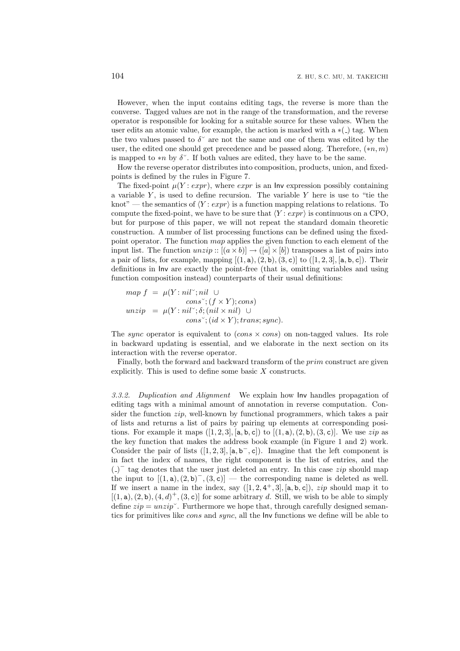However, when the input contains editing tags, the reverse is more than the converse. Tagged values are not in the range of the transformation, and the reverse operator is responsible for looking for a suitable source for these values. When the user edits an atomic value, for example, the action is marked with  $a * ( )$  tag. When the two values passed to  $\delta^{\sim}$  are not the same and one of them was edited by the user, the edited one should get precedence and be passed along. Therefore, (*∗n, m*) is mapped to *\*n* by  $\delta^{\sim}$ . If both values are edited, they have to be the same.

How the reverse operator distributes into composition, products, union, and fixedpoints is defined by the rules in Figure 7.

The fixed-point  $\mu(Y: expr)$ , where *expr* is an Inv expression possibly containing a variable *Y* , is used to define recursion. The variable *Y* here is use to "tie the knot" — the semantics of  $\langle Y : \exp \rangle$  is a function mapping relations to relations. To compute the fixed-point, we have to be sure that *〈Y* : *expr〉* is continuous on a CPO, but for purpose of this paper, we will not repeat the standard domain theoretic construction. A number of list processing functions can be defined using the fixedpoint operator. The function *map* applies the given function to each element of the input list. The function  $unzip : [(a \times b)] \rightarrow ([a] \times [b])$  transposes a list of pairs into a pair of lists, for example, mapping  $[(1, a), (2, b), (3, c)]$  to  $([1, 2, 3], [a, b, c])$ . Their definitions in Inv are exactly the point-free (that is, omitting variables and using function composition instead) counterparts of their usual definitions:

$$
map f = \mu(Y: nil\breve{ }; nil \cup
$$
  
\n
$$
cons\breve{ }; (f \times Y); cons)
$$
  
\n
$$
unzip = \mu(Y: nil\breve{ }; \delta; (nil \times nil) \cup
$$
  
\n
$$
cons\breve{ }; (id \times Y); trans; sync).
$$

The *sync* operator is equivalent to  $(cons \times cons)$  on non-tagged values. Its role in backward updating is essential, and we elaborate in the next section on its interaction with the reverse operator.

Finally, both the forward and backward transform of the *prim* construct are given explicitly. This is used to define some basic *X* constructs.

*3.3.2. Duplication and Alignment* We explain how Inv handles propagation of editing tags with a minimal amount of annotation in reverse computation. Consider the function *zip*, well-known by functional programmers, which takes a pair of lists and returns a list of pairs by pairing up elements at corresponding positions. For example it maps  $([1, 2, 3], [a, b, c])$  to  $[(1, a), (2, b), (3, c)]$ . We use *zip* as the key function that makes the address book example (in Figure 1 and 2) work. Consider the pair of lists  $([1, 2, 3], [a, b^-, c])$ . Imagine that the left component is in fact the index of names, the right component is the list of entries, and the ( ) *−* tag denotes that the user just deleted an entry. In this case *zip* should map the input to  $[(1, a), (2, b)^-, (3, c)]$  — the corresponding name is deleted as well. If we insert a name in the index, say  $([1, 2, 4<sup>+</sup>, 3], [a, b, c]),$  *zip* should map it to  $[(1, a), (2, b), (4, d)^{+}, (3, c)]$  for some arbitrary *d*. Still, we wish to be able to simply define  $zip = unzip'$ . Furthermore we hope that, through carefully designed semantics for primitives like *cons* and *sync*, all the Inv functions we define will be able to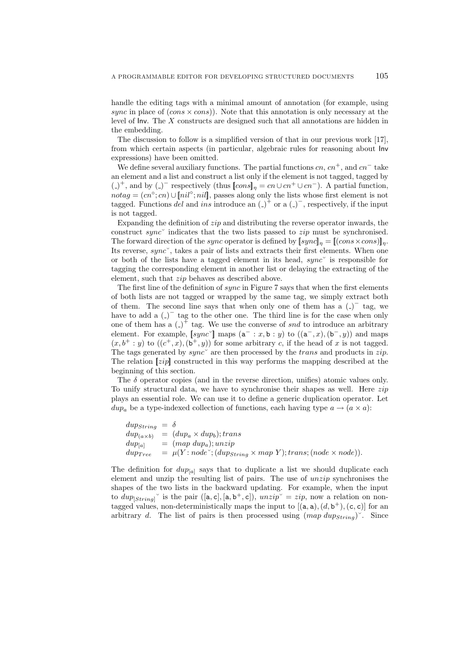handle the editing tags with a minimal amount of annotation (for example, using *sync* in place of (*cons × cons*)). Note that this annotation is only necessary at the level of Inv. The *X* constructs are designed such that all annotations are hidden in the embedding.

The discussion to follow is a simplified version of that in our previous work [17], from which certain aspects (in particular, algebraic rules for reasoning about Inv expressions) have been omitted.

We define several auxiliary functions. The partial functions *cn*, *cn*<sup>+</sup>, and *cn<sup>−</sup>* take an element and a list and construct a list only if the element is not tagged, tagged by  $(-)^+$ , and by  $(-)^-$  respectively (thus  $\llbracket const \rrbracket_{\eta} = cn \cup cn^+ \cup cn^-$ ). A partial function,  $notag = (cn<sup>°</sup>; cn) \cup [nil<sup>°</sup>; nil]$ , passes along only the lists whose first element is not tagged. Functions *del* and *ins* introduce an  $($ )<sup> $+$ </sup> or a  $($ )<sup> $-$ </sup>, respectively, if the input is not tagged.

Expanding the definition of *zip* and distributing the reverse operator inwards, the construct *sync*˘ indicates that the two lists passed to *zip* must be synchronised. The forward direction of the *sync* operator is defined by  $[sync]_n = [(cons \times cons)]_n$ . Its reverse, *sync*˘, takes a pair of lists and extracts their first elements. When one or both of the lists have a tagged element in its head, *sync*˘ is responsible for tagging the corresponding element in another list or delaying the extracting of the element, such that *zip* behaves as described above.

The first line of the definition of *sync* in Figure 7 says that when the first elements of both lists are not tagged or wrapped by the same tag, we simply extract both of them. The second line says that when only one of them has a  $($ have to add a  $($ )<sup> $-$ </sup> tag to the other one. The third line is for the case when only one of them has a  $\left( \_ \right)^{+}$  tag. We use the converse of *snd* to introduce an arbitrary element. For example,  $[sync^{\dagger}]$  maps  $(a^- : x, b : y)$  to  $((a^-, x), (b^-, y))$  and maps  $(x, b^+ : y)$  to  $((c^+, x), (b^+, y))$  for some arbitrary *c*, if the head of *x* is not tagged. The tags generated by *sync*˘ are then processed by the *trans* and products in *zip*. The relation [*|zip*]*|* constructed in this way performs the mapping described at the beginning of this section.

The  $\delta$  operator copies (and in the reverse direction, unifies) atomic values only. To unify structural data, we have to synchronise their shapes as well. Here *zip* plays an essential role. We can use it to define a generic duplication operator. Let *dup<sub>a</sub>* be a type-indexed collection of functions, each having type  $a \rightarrow (a \times a)$ :

$$
dup_{String} = \delta
$$
  
\n
$$
dup_{(a \times b)} = (dup_a \times dup_b); trans
$$
  
\n
$$
dup_{[a]} = (map \; dup_a); unzip
$$
  
\n
$$
dup_{Tree} = \mu(Y : node^*; (dup_{String} \times map \; Y); trans; (node \times node)).
$$

The definition for  $dup_{[a]}$  says that to duplicate a list we should duplicate each element and unzip the resulting list of pairs. The use of *unzip* synchronises the shapes of the two lists in the backward updating. For example, when the input to  $dup_{[String]}$ <sup> $\check{ }$ </sup> is the pair  $([a, c], [a, b^+, c]),$   $unzip \check{ } = zip$ , now a relation on nontagged values, non-deterministically maps the input to  $[(a, a), (d, b^+), (c, c)]$  for an arbitrary *d*. The list of pairs is then processed using  $(map \,dups_{tring})$ <sup>"</sup>. Since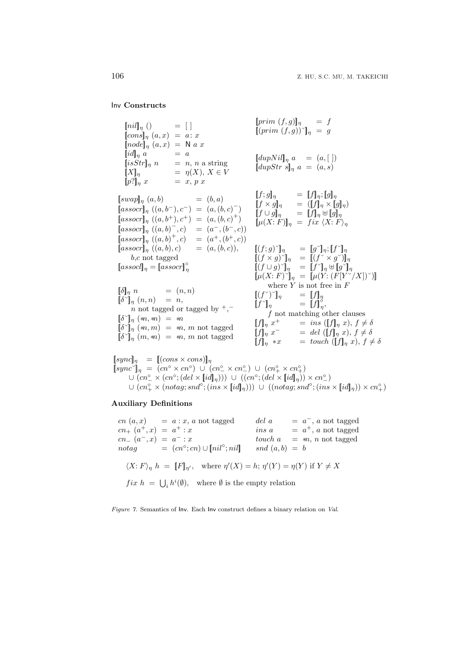Inv **Constructs**

$$
[nil]_{\eta}( ) = [] \qquad [prim (f,g)]_{\eta} = f
$$
  
\n
$$
[cons]_{\eta}(a,x) = a:x
$$
  
\n
$$
[node]_{\eta}(a,x) = N a x
$$
  
\n
$$
[id]_{\eta} a = a
$$
  
\n
$$
[isStr]_{\eta} n = n, n \text{ a string}
$$
  
\n
$$
[M]_{\eta} = \eta(X), X \in V
$$
  
\n
$$
[eval]_{\eta} (a,b) = (b,a)
$$
  
\n
$$
[f,g]_{\eta} = [f]_{\eta} \times [g]_{\eta}
$$
  
\n
$$
[asscr]_{\eta} = [f]_{\eta} \times [g]_{\eta}
$$
  
\n
$$
[assocr]_{\eta} (a,b) = (b,a)
$$
  
\n
$$
[asscr]_{\eta} = [f]_{\eta} \times [g]_{\eta}
$$
  
\n
$$
[assocr]_{\eta} (a,b^+), c^+) = (a,(b,c)^-)
$$
  
\n
$$
[assocr]_{\eta} (a,b^+), c^+) = (a,(b,c)^+)
$$
  
\n
$$
[assocr]_{\eta} (a,b^+,c) = (a^-, (b^-, c))
$$
  
\n
$$
[assocr]_{\eta} (a,b)^+, c) = (a^-, (b^-, c))
$$
  
\n
$$
[assocr]_{\eta} (a,b)^+, c) = (a^+, (b^+, c))
$$
  
\n
$$
[assocr]_{\eta} = [assocr]_{\eta}^{\circ}
$$
  
\n
$$
[s]_{\eta} n = [assocr]_{\eta}^{\circ}
$$
  
\n
$$
[s]_{\eta} n = [assocr]_{\eta}^{\circ}
$$
  
\n
$$
[s]_{\eta} n = (n, n)
$$
  
\n
$$
[s]_{\eta} n = (n, n)
$$
  
\n
$$
[s]_{\eta} n = n, n \text{ not tagged by } +,-
$$
  
\n
$$
[s]_{\eta} (m, m) = m, m \text{ not tagged}
$$
  
\n
$$
[s]_{\eta} (m, m) = m, m \text{ not tagged}
$$

 $[\textit{syncl}_{\eta} = [(\textit{cons} \times \textit{cons})]_{\eta}$  $[sync^{\circ}]$  *n* = (*cn*<sup>**◦</sup>**  $\times$ *cn***<sup>°</sup>)** *∪* **(***cn***<sup>°</sup>**  $\sim$ *cm***<sup>°</sup>)** *∪* **(***cn***<sup>°</sup>**  $\sim$ *km***<sup>°</sup>)</sup>**  $\cup (cn^{\circ}_{-} \times (cn^{\circ}; (del \times [id]_{\eta}))) \cup ((cn^{\circ}; (del \times [id]_{\eta})) \times cn^{\circ}_{-})$  $\cup$   $(cn_{+}^{\circ}\times (notag;snd^{\circ}; (ins \times [id]_{\eta})))\ \cup\ ((notag;snd^{\circ}; (ins \times [id]_{\eta})) \times cn_{+}^{\circ})$ 

# **Auxiliary Definitions**

 $cn(a, x) = a : x, a \text{ not tagged}$  $cn_+$   $(a^+, x) = a^+ : x$ *cn<sup>−</sup>* (*a <sup>−</sup>, x*) = *a <sup>−</sup>* : *x*  $notag$  =  $(cn<sup>°</sup>; cn) \cup [nil<sup>°</sup>; nil]$  $del a = a^-$ , *a* not tagged  $ins a = a^+, a$  not tagged  $touch \, a = m, n \text{ not tagged}$  $snd(a, b) = b$  $\langle X: F \rangle_{\eta} h = [F]_{\eta'}, \text{ where } \eta'(X) = h; \eta'(Y) = \eta(Y) \text{ if } Y \neq X$  $fix h = \bigcup_i h^i(\emptyset), \text{ where } \emptyset \text{ is the empty relation}$ 

*Figure 7.* Semantics of Inv. Each Inv construct defines a binary relation on *Val*.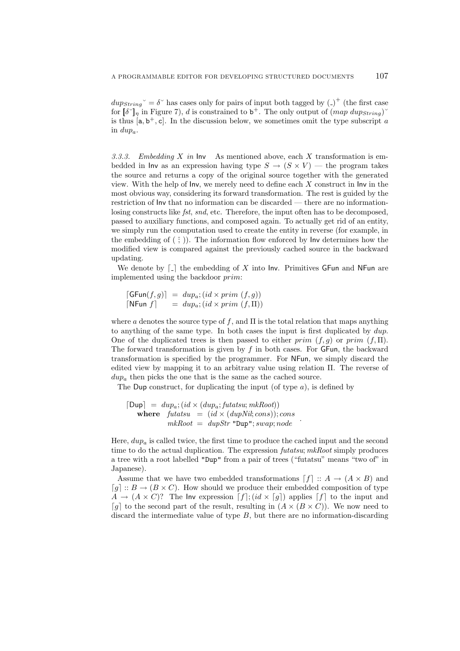$dups_{string}$ <sup> $\sim$ </sup> =  $\delta$ <sup> $\sim$ </sup> has cases only for pairs of input both tagged by (-)<sup>+</sup> (the first case for  $[\![\delta^\circ]\!]_\eta$  in Figure 7), *d* is constrained to b<sup>+</sup>. The only output of  $(map \; dups_{string})^\circ$ is thus  $[a, b^+, c]$ . In the discussion below, we sometimes omit the type subscript *a* in *dupa*.

*3.3.3. Embedding X in* Inv As mentioned above, each *X* transformation is embedded in lnv as an expression having type  $S \rightarrow (S \times V)$  — the program takes the source and returns a copy of the original source together with the generated view. With the help of Inv, we merely need to define each *X* construct in Inv in the most obvious way, considering its forward transformation. The rest is guided by the restriction of Inv that no information can be discarded — there are no informationlosing constructs like *fst*, *snd*, etc. Therefore, the input often has to be decomposed, passed to auxiliary functions, and composed again. To actually get rid of an entity, we simply run the computation used to create the entity in reverse (for example, in the embedding of  $(\hat{i})$ . The information flow enforced by Inv determines how the modified view is compared against the previously cached source in the backward updating.

We denote by  $\lceil \cdot \rceil$  the embedding of X into Inv. Primitives GFun and NFun are implemented using the backdoor *prim*:

$$
[\mathsf{G}\mathsf{Fun}(f,g)] = \text{d}up_a; (\text{id} \times \text{prim } (f,g))
$$
  

$$
[\mathsf{N}\mathsf{Fun} \ f] = \text{d}up_a; (\text{id} \times \text{prim } (f,\Pi))
$$

where *a* denotes the source type of *f*, and Π is the total relation that maps anything to anything of the same type. In both cases the input is first duplicated by *dup*. One of the duplicated trees is then passed to either *prim* (*f, g*) or *prim* (*f,* Π). The forward transformation is given by *f* in both cases. For GFun, the backward transformation is specified by the programmer. For NFun, we simply discard the edited view by mapping it to an arbitrary value using relation Π. The reverse of  $dup<sub>a</sub>$  then picks the one that is the same as the cached source.

The Dup construct, for duplicating the input (of type *a*), is defined by

$$
\begin{array}{rcl}\n\text{[Dup]} & = & dup_a; (id \times (dup_a; futatsu; mkRoot)) \\
\text{where} & futatsu & = & (id \times (dupNil; cons)); cons \\
& mkRoot & = & dupStr \text{ "Dup"; swap; node}\n\end{array}
$$

Here, *dup<sup>a</sup>* is called twice, the first time to produce the cached input and the second time to do the actual duplication. The expression *futatsu*; *mkRoot* simply produces a tree with a root labelled "Dup" from a pair of trees ("futatsu" means "two of" in Japanese).

Assume that we have two embedded transformations  $[f] :: A \rightarrow (A \times B)$  and  $\lceil q \rceil :: B \rightarrow (B \times C)$ . How should we produce their embedded composition of type  $A \rightarrow (A \times C)$ ? The Inv expression  $[f](id \times [g])$  applies  $[f]$  to the input and  $[g]$  to the second part of the result, resulting in  $(A \times (B \times C))$ . We now need to discard the intermediate value of type *B*, but there are no information-discarding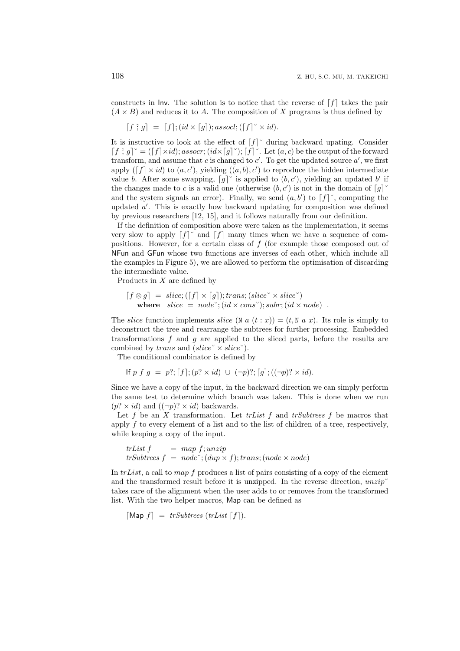constructs in Inv. The solution is to notice that the reverse of  $\lceil f \rceil$  takes the pair  $(A \times B)$  and reduces it to *A*. The composition of *X* programs is thus defined by

$$
[f \hat{;} g] = [f]; (id \times [g]); associated; ([f] \check{\checkmark} \times id).
$$

It is instructive to look at the effect of  $[f]$ <sup> $\check{ }$ </sup> during backward upating. Consider  $[f \hat{;} g]^\vee = ([f] \times id); \text{assocr}; (\text{id} \times [g]^\vee); [f]^\vee.$  Let  $(a, c)$  be the output of the forward transform, and assume that *c* is changed to  $c'$ . To get the updated source  $a'$ , we first apply  $([f] \times id)$  to  $(a, c')$ , yielding  $((a, b), c')$  to reproduce the hidden intermediate value *b*. After some swapping,  $[g]^\vee$  is applied to  $(b, c')$ , yielding an updated *b'* if the changes made to *c* is a valid one (otherwise  $(b, c')$  is not in the domain of  $\lceil g \rceil$ <sup> $\check{ }$ </sup> and the system signals an error). Finally, we send  $(a, b')$  to  $\lceil f \rceil$ <sup>o</sup>, computing the updated *a ′* . This is exactly how backward updating for composition was defined by previous researchers [12, 15], and it follows naturally from our definition.

If the definition of composition above were taken as the implementation, it seems very slow to apply  $[f]$ <sup> $\circ$ </sup> and  $[f]$  many times when we have a sequence of compositions. However, for a certain class of *f* (for example those composed out of NFun and GFun whose two functions are inverses of each other, which include all the examples in Figure 5), we are allowed to perform the optimisation of discarding the intermediate value.

Products in *X* are defined by

$$
[f \otimes g] = slice; ([f] \times [g]); trans; (slice \times slice \checkmark) where slice = node \checkmark; (id \times cons \checkmark); subr; (id \times node).
$$

The *slice* function implements *slice* (N  $a(t:x)$ ) = (t, N  $a x$ ). Its role is simply to deconstruct the tree and rearrange the subtrees for further processing. Embedded transformations *f* and *g* are applied to the sliced parts, before the results are combined by *trans* and (*slice*˘ *× slice*˘).

The conditional combinator is defined by

If 
$$
p f g = p
$$
?;  $[f]$ ;  $(p$ ?  $\times id)$   $\cup$   $(\neg p)$ ?;  $[g]$ ;  $((\neg p)$ ?  $\times id)$ .

Since we have a copy of the input, in the backward direction we can simply perform the same test to determine which branch was taken. This is done when we run  $(p? \times id)$  and  $((\neg p)? \times id)$  backwards.

Let *f* be an *X* transformation. Let *trList f* and *trSubtrees f* be macros that apply *f* to every element of a list and to the list of children of a tree, respectively, while keeping a copy of the input.

$$
trList f = map f; unzip
$$
  

$$
trSubtrees f = nodeo; (dup × f); trans; (node × node)
$$

In *trList*, a call to *map f* produces a list of pairs consisting of a copy of the element and the transformed result before it is unzipped. In the reverse direction,  $unzip$ <sup>v</sup> takes care of the alignment when the user adds to or removes from the transformed list. With the two helper macros, Map can be defined as

 $\lceil \text{Map } f \rceil = trSubtrees (trList \lceil f \rceil).$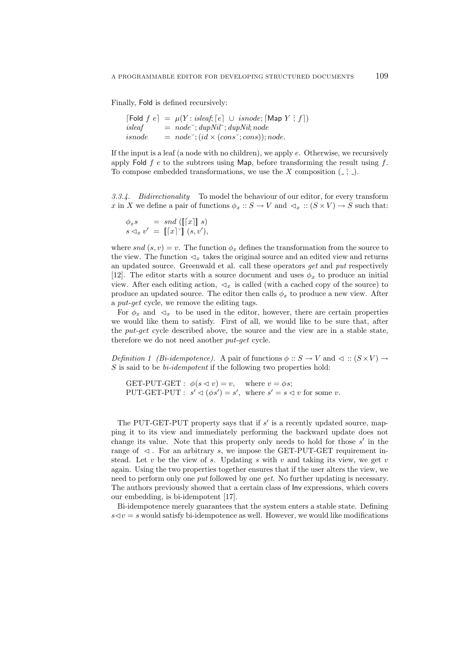Finally, Fold is defined recursively:

```
\lceil \text{Fold } f \ e \rceil = \mu(Y : \text{isleaf}, \lceil e \rceil \ \cup \text{isnode}; \lceil \text{Map } Y \rceil; f \rceil)i = node^{\sim}; dupNil^{\sim}; dupNil^{\sim}; node
isnode = node^{\sim}; (id \times (cons^{\sim}; cons)); node.
```
If the input is a leaf (a node with no children), we apply *e*. Otherwise, we recursively apply Fold *f e* to the subtrees using Map, before transforming the result using *f*. To compose embedded transformations, we use the  $X$  composition  $($ ,  $\hat{ }$ ,  $)$ .

*3.3.4. Bidirectionality* To model the behaviour of our editor, for every transform *x* in *X* we define a pair of functions  $\phi_x$  ::  $S \to V$  and  $\lhd_x$  ::  $(S \times V) \to S$  such that:

$$
\begin{array}{rcl}\n\phi_x s & = & \mathit{snd}\left(\llbracket\lceil x \rceil\rrbracket\ s\right) \\
s \triangleleft_x v' & = & \llbracket\lceil x \rceil \urcorner \rrbracket\ (s, v'),\n\end{array}
$$

where  $snd(s, v) = v$ . The function  $\phi_x$  defines the transformation from the source to the view. The function  $\mathcal{A}_x$  takes the original source and an edited view and returns an updated source. Greenwald et al. call these operators *get* and *put* respectively [12]. The editor starts with a source document and uses  $\phi_x$  to produce an initial view. After each editing action,  $\triangleleft_x$  is called (with a cached copy of the source) to produce an updated source. The editor then calls  $\phi_x$  to produce a new view. After a *put*-*get* cycle, we remove the editing tags.

For  $\phi_x$  and  $\varphi_x$  to be used in the editor, however, there are certain properties we would like them to satisfy. First of all, we would like to be sure that, after the *put*-*get* cycle described above, the source and the view are in a stable state, therefore we do not need another *put*-*get* cycle.

*Definition 1 (Bi-idempotence).* A pair of functions  $\phi :: S \rightarrow V$  and  $\triangleleft :: (S \times V) \rightarrow$ *S* is said to be *bi-idempotent* if the following two properties hold:

GET-PUT-GET :  $\phi(s \triangleleft v) = v$ , where  $v = \phi s$ ; PUT-GET-PUT :  $s' \lhd (\phi s') = s'$ , where  $s' = s \lhd v$  for some *v*.

The PUT-GET-PUT property says that if *s ′* is a recently updated source, mapping it to its view and immediately performing the backward update does not change its value. Note that this property only needs to hold for those *s ′* in the range of  $\triangleleft$ . For an arbitrary *s*, we impose the GET-PUT-GET requirement instead. Let *v* be the view of *s*. Updating *s* with *v* and taking its view, we get *v* again. Using the two properties together ensures that if the user alters the view, we need to perform only one *put* followed by one *get*. No further updating is necessary. The authors previously showed that a certain class of Inv expressions, which covers our embedding, is bi-idempotent [17].

Bi-idempotence merely guarantees that the system enters a stable state. Defining  $s \leq v = s$  would satisfy bi-idempotence as well. However, we would like modifications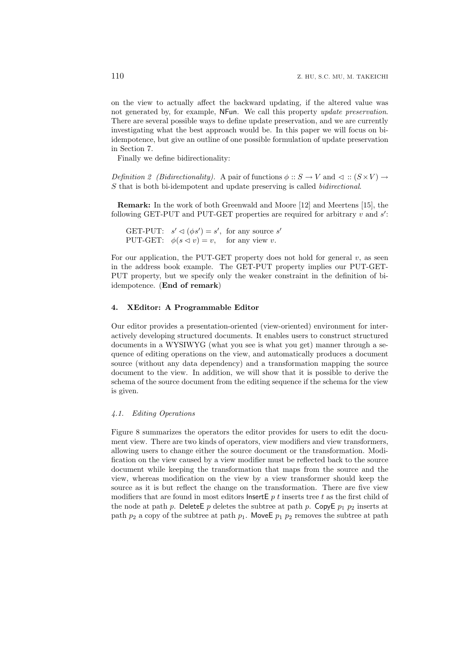on the view to actually affect the backward updating, if the altered value was not generated by, for example, NFun. We call this property *update preservation*. There are several possible ways to define update preservation, and we are currently investigating what the best approach would be. In this paper we will focus on biidempotence, but give an outline of one possible formulation of update preservation in Section 7.

Finally we define bidirectionality:

*Definition 2 (Bidirectionality).* A pair of functions  $\phi : S \to V$  and  $\triangleleft : (S \times V) \to$ *S* that is both bi-idempotent and update preserving is called *bidirectional*.

**Remark:** In the work of both Greenwald and Moore [12] and Meertens [15], the following GET-PUT and PUT-GET properties are required for arbitrary *v* and *s ′* :

GET-PUT:  $s' \lhd (\phi s') = s'$ , for any source  $s'$ PUT-GET:  $\phi(s \triangleleft v) = v$ , for any view *v*.

For our application, the PUT-GET property does not hold for general *v*, as seen in the address book example. The GET-PUT property implies our PUT-GET-PUT property, but we specify only the weaker constraint in the definition of biidempotence. (**End of remark**)

## **4. XEditor: A Programmable Editor**

Our editor provides a presentation-oriented (view-oriented) environment for interactively developing structured documents. It enables users to construct structured documents in a WYSIWYG (what you see is what you get) manner through a sequence of editing operations on the view, and automatically produces a document source (without any data dependency) and a transformation mapping the source document to the view. In addition, we will show that it is possible to derive the schema of the source document from the editing sequence if the schema for the view is given.

#### *4.1. Editing Operations*

Figure 8 summarizes the operators the editor provides for users to edit the document view. There are two kinds of operators, view modifiers and view transformers, allowing users to change either the source document or the transformation. Modification on the view caused by a view modifier must be reflected back to the source document while keeping the transformation that maps from the source and the view, whereas modification on the view by a view transformer should keep the source as it is but reflect the change on the transformation. There are five view modifiers that are found in most editors InsertE *p t* inserts tree *t* as the first child of the node at path  $p$ . Delete  $p$  deletes the subtree at path  $p$ . Copy  $p_1$   $p_2$  inserts at path  $p_2$  a copy of the subtree at path  $p_1$ . Move E  $p_1$   $p_2$  removes the subtree at path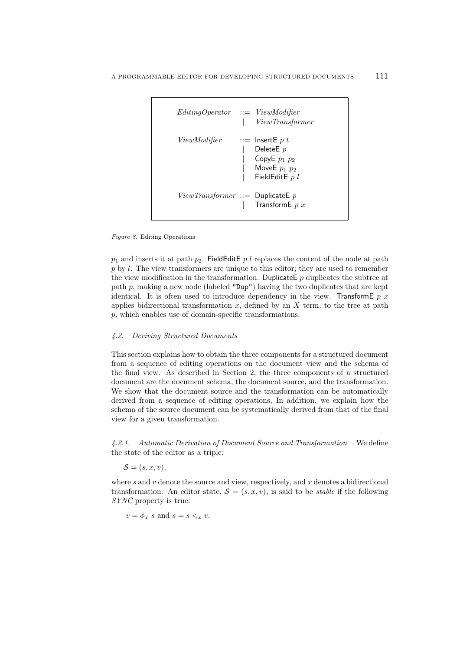

*Figure 8.* Editing Operations

 $p_1$  and inserts it at path  $p_2$ . FieldEditE p l replaces the content of the node at path *p* by *l*. The view transformers are unique to this editor; they are used to remember the view modification in the transformation. Duplicate  $p$  duplicates the subtree at path *p*, making a new node (labeled "Dup") having the two duplicates that are kept identical. It is often used to introduce dependency in the view. TransformE *p x* applies bidirectional transformation *x*, defined by an *X* term, to the tree at path *p*, which enables use of domain-specific transformations.

### *4.2. Deriving Structured Documents*

This section explains how to obtain the three components for a structured document from a sequence of editing operations on the document view and the schema of the final view. As described in Section 2, the three components of a structured document are the document schema, the document source, and the transformation. We show that the document source and the transformation can be automatically derived from a sequence of editing operations, In addition, we explain how the schema of the source document can be systematically derived from that of the final view for a given transformation.

*4.2.1. Automatic Derivation of Document Source and Transformation* We define the state of the editor as a triple:

 $\mathcal{S} = (s, x, v)$ ,

where *s* and *v* denote the source and view, respectively, and *x* denotes a bidirectional transformation. An editor state,  $S = (s, x, v)$ , is said to be *stable* if the following *SYNC* property is true:

 $v = \phi_x$  *s* and  $s = s \leq_x v$ .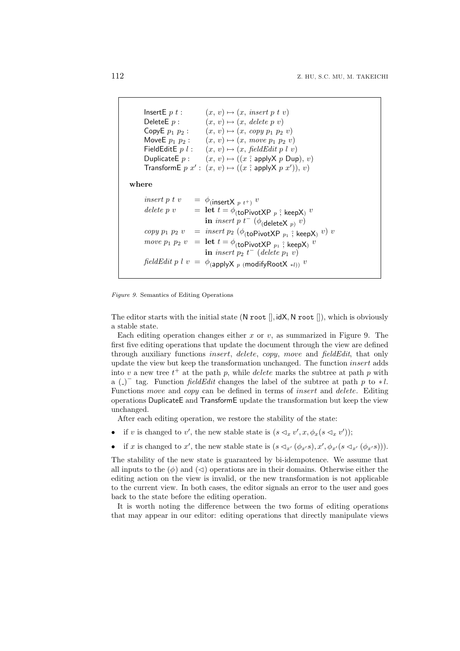```
InsertE p \, t : \quad (x, v) \mapsto (x, \text{ insert } p \, t \, v)DeleteE p : (x, v) \mapsto (x, \text{ delete } p v)CopyE p_1 p_2: (x, v) \mapsto (x, copy \ p_1 \ p_2 \ v)<br>MoveE p_1 p_2: (x, v) \mapsto (x, move \ p_1 \ p_2 \ v)(x, v) \mapsto (x, move \ p_1 \ p_2 \ v)FieldEditE p \, l : \quad (x, v) \mapsto (x, \text{ field} \, \text{E} \, \text{dist} \, p \, l \, v)DuplicateE p: (x, v) \mapsto ((x \hat{;} applyX p Dup), v)
       TransformE p(x^2: (x, v) \mapsto ((x \hat{;} \text{applyX } p(x^{\prime})), v)where
       insert p t v = \phi<sub>(insertX p t<sup>+</sup>)</sub> v
       delete p v = let t = \phi_{(toPivotXP p ; keepX)} v\textbf{in} \mathit{insert}\ p\ t^-\ (\phi_{(\textsf{deleteX}\ p)}\ v)copy p_1 p_2 v = insert p_2 (\phi<sub>(toPivotXP p_1; keepX) v) v</sub>
       move p_1 p_2 v = \text{let } t = \phi_{(\text{toPivotXP } p_1)}; keepX) v\textbf{in} insert p_2 t^- (delete p_1 v)
      fieldEdit p l v = \phi<sub>(apply</sub>X p (modifyRootX *l)) v
```
*Figure 9.* Semantics of Editing Operations

The editor starts with the initial state (N root []*,* idX*,* N root []), which is obviously a stable state.

Each editing operation changes either *x* or *v*, as summarized in Figure 9. The first five editing operations that update the document through the view are defined through auxiliary functions *insert*, *delete*, *copy*, *move* and *fieldEdit*, that only update the view but keep the transformation unchanged. The function *insert* adds into  $v$  a new tree  $t^+$  at the path  $p$ , while *delete* marks the subtree at path  $p$  with a ( ) *−* tag. Function *fieldEdit* changes the label of the subtree at path *p* to *∗ l*. Functions *move* and *copy* can be defined in terms of *insert* and *delete*. Editing operations DuplicateE and TransformE update the transformation but keep the view unchanged.

After each editing operation, we restore the stability of the state:

- if *v* is changed to *v*<sup>'</sup>, the new stable state is  $(s \lhd_x v', x, \phi_x(s \lhd_x v'))$ ;
- if x is changed to x', the new stable state is  $(s \lhd_{x'} (\phi_{x'}s), x', \phi_{x'}(s \lhd_{x'} (\phi_{x'}s)))$ .

The stability of the new state is guaranteed by bi-idempotence. We assume that all inputs to the  $(\phi)$  and  $(\triangleleft)$  operations are in their domains. Otherwise either the editing action on the view is invalid, or the new transformation is not applicable to the current view. In both cases, the editor signals an error to the user and goes back to the state before the editing operation.

It is worth noting the difference between the two forms of editing operations that may appear in our editor: editing operations that directly manipulate views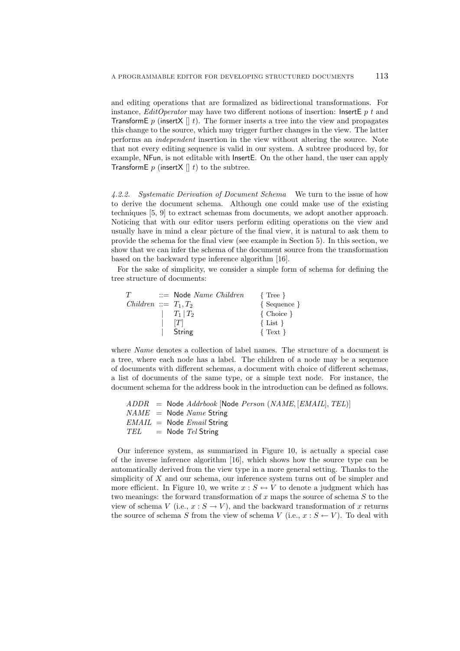and editing operations that are formalized as bidirectional transformations. For instance, *EditOperator* may have two different notions of insertion: InsertE *p t* and **TransformE** *p* (insertX  $\parallel$  *t*). The former inserts a tree into the view and propagates this change to the source, which may trigger further changes in the view. The latter performs an *independent* insertion in the view without altering the source. Note that not every editing sequence is valid in our system. A subtree produced by, for example, NFun, is not editable with InsertE. On the other hand, the user can apply **TransformE**  $p$  (insertX  $\parallel$  t) to the subtree.

*4.2.2. Systematic Derivation of Document Schema* We turn to the issue of how to derive the document schema. Although one could make use of the existing techniques [5, 9] to extract schemas from documents, we adopt another approach. Noticing that with our editor users perform editing operations on the view and usually have in mind a clear picture of the final view, it is natural to ask them to provide the schema for the final view (see example in Section 5). In this section, we show that we can infer the schema of the document source from the transformation based on the backward type inference algorithm [16].

For the sake of simplicity, we consider a simple form of schema for defining the tree structure of documents:

| T                       | $ ::=$ Node Name Children | $\{$ Tree $\}$ |
|-------------------------|---------------------------|----------------|
| $Children ::= T_1, T_2$ |                           | { Sequence }   |
|                         | $ T_1 T_2$                | $\{ Choice \}$ |
|                         | [T]                       | $\{List\}$     |
|                         | String                    | $\{Text\}$     |

where *Name* denotes a collection of label names. The structure of a document is a tree, where each node has a label. The children of a node may be a sequence of documents with different schemas, a document with choice of different schemas, a list of documents of the same type, or a simple text node. For instance, the document schema for the address book in the introduction can be defined as follows.

```
ADDR = Node Addrbook [Node Person (NAME, [EMAIL], TEL)]
NAME = Node Name String
EMAIL = Node Email String
TEL = Node Tel String
```
Our inference system, as summarized in Figure 10, is actually a special case of the inverse inference algorithm [16], which shows how the source type can be automatically derived from the view type in a more general setting. Thanks to the simplicity of *X* and our schema, our inference system turns out of be simpler and more efficient. In Figure 10, we write  $x : S \leftrightarrow V$  to denote a judgment which has two meanings: the forward transformation of *x* maps the source of schema *S* to the view of schema *V* (i.e.,  $x : S \to V$ ), and the backward transformation of *x* returns the source of schema *S* from the view of schema *V* (i.e.,  $x : S \leftarrow V$ ). To deal with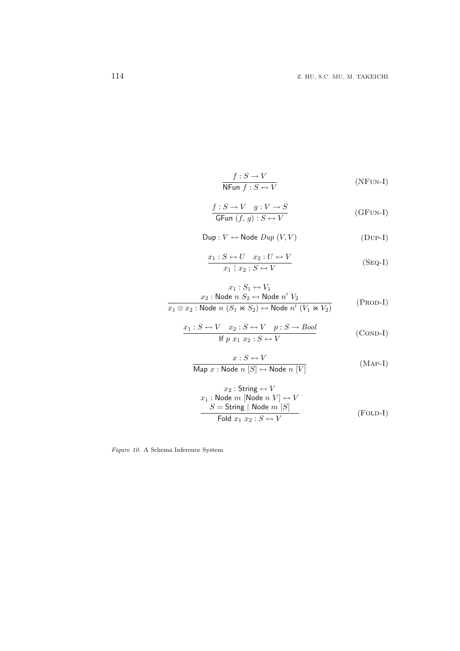$$
\frac{f: S \to V}{\text{NFun } f: S \leftrightarrow V} \tag{NFun-I}
$$

$$
\frac{f: S \to V \quad g: V \to S}{\text{GFun}(f, g): S \leftrightarrow V} \tag{GFUN-I}
$$

$$
\mathsf{Dup}: V \leftrightarrow \mathsf{Node} \; Dup \; (V, V) \tag{Dup-I}
$$

$$
\frac{x_1: S \leftrightarrow U \quad x_2: U \leftrightarrow V}{x_1 \hat{;} x_2: S \leftrightarrow V} \tag{Seq-I}
$$

$$
x_1 : S_1 \leftrightarrow V_1
$$
  

$$
x_2 : \text{Node } n \quad S_2 \leftrightarrow \text{Node } n' \quad V_2
$$
  

$$
x_1 \otimes x_2 : \text{Node } n \quad (S_1 \bowtie S_2) \leftrightarrow \text{Node } n' \quad (V_1 \bowtie V_2)
$$
 (PROD-I)

$$
\frac{x_1: S \leftrightarrow V \quad x_2: S \leftrightarrow V \quad p: S \to Bool}{\text{If } p \ x_1 \ x_2: S \leftrightarrow V} \tag{COND-I}
$$

$$
x: S \leftrightarrow V
$$
  
Map  $x: \text{Node } n [S] \leftrightarrow \text{Node } n [V]$  (MAP-I)

$$
x_2 : String \leftrightarrow V
$$
  
\n
$$
x_1 : Node \ m \ [Node \ n \ V] \leftrightarrow V
$$
  
\n
$$
S = String \ | \ Node \ m \ [S]
$$
  
\n
$$
Fold \ x_1 \ x_2 : S \leftrightarrow V
$$
  
\n(FOLD-I)

*Figure 10.* A Schema Inference System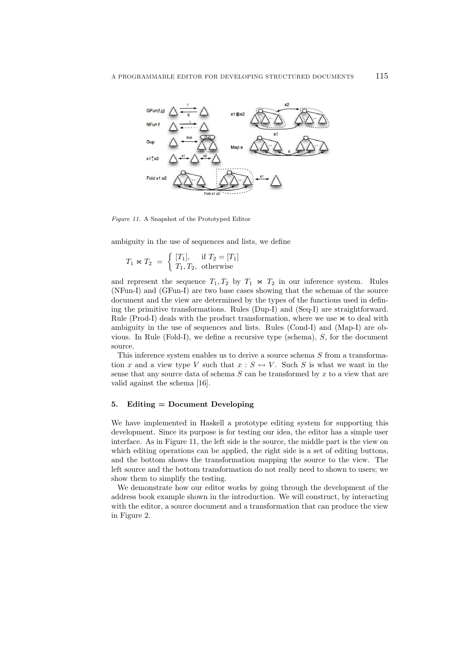

*Figure 11.* A Snapshot of the Prototyped Editor

ambiguity in the use of sequences and lists, we define

$$
T_1 \bowtie T_2 = \begin{cases} [T_1], & \text{if } T_2 = [T_1] \\ T_1, T_2, & \text{otherwise} \end{cases}
$$

and represent the sequence  $T_1, T_2$  by  $T_1 \bowtie T_2$  in our inference system. Rules (NFun-I) and (GFun-I) are two base cases showing that the schemas of the source document and the view are determined by the types of the functions used in defining the primitive transformations. Rules (Dup-I) and (Seq-I) are straightforward. Rule (Prod-I) deals with the product transformation, where we use  $\bowtie$  to deal with ambiguity in the use of sequences and lists. Rules (Cond-I) and (Map-I) are obvious. In Rule (Fold-I), we define a recursive type (schema), *S*, for the document source.

This inference system enables us to derive a source schema *S* from a transformation *x* and a view type *V* such that  $x : S \leftrightarrow V$ . Such *S* is what we want in the sense that any source data of schema *S* can be transformed by *x* to a view that are valid against the schema [16].

### **5. Editing = Document Developing**

We have implemented in Haskell a prototype editing system for supporting this development. Since its purpose is for testing our idea, the editor has a simple user interface. As in Figure 11, the left side is the source, the middle part is the view on which editing operations can be applied, the right side is a set of editing buttons, and the bottom shows the transformation mapping the source to the view. The left source and the bottom transformation do not really need to shown to users; we show them to simplify the testing.

We demonstrate how our editor works by going through the development of the address book example shown in the introduction. We will construct, by interacting with the editor, a source document and a transformation that can produce the view in Figure 2.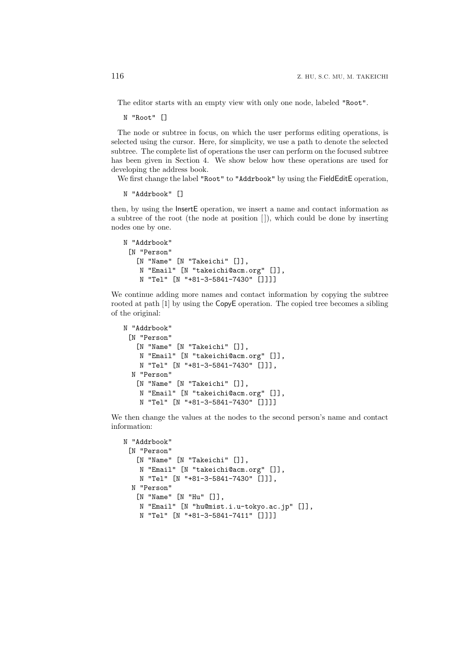The editor starts with an empty view with only one node, labeled "Root".

N "Root" []

The node or subtree in focus, on which the user performs editing operations, is selected using the cursor. Here, for simplicity, we use a path to denote the selected subtree. The complete list of operations the user can perform on the focused subtree has been given in Section 4. We show below how these operations are used for developing the address book.

We first change the label "Root" to "Addrbook" by using the FieldEditE operation,

```
N "Addrbook" []
```
then, by using the InsertE operation, we insert a name and contact information as a subtree of the root (the node at position [ ]), which could be done by inserting nodes one by one.

```
N "Addrbook"
 [N "Person"
   [N "Name" [N "Takeichi" []],
    N "Email" [N "takeichi@acm.org" []],
    N "Tel" [N "+81-3-5841-7430" []]]]
```
We continue adding more names and contact information by copying the subtree rooted at path [1] by using the CopyE operation. The copied tree becomes a sibling of the original:

```
N "Addrbook"
 [N "Person"
   [N "Name" [N "Takeichi" []],
   N "Email" [N "takeichi@acm.org" []],
   N "Tel" [N "+81-3-5841-7430" []]],
 N "Person"
   [N "Name" [N "Takeichi" []],
   N "Email" [N "takeichi@acm.org" []],
   N "Tel" [N "+81-3-5841-7430" []]]]
```
We then change the values at the nodes to the second person's name and contact information:

```
N "Addrbook"
 [N "Person"
   [N "Name" [N "Takeichi" []],
   N "Email" [N "takeichi@acm.org" []],
   N "Tel" [N "+81-3-5841-7430" []]],
 N "Person"
   [N "Name" [N "Hu" []],
   N "Email" [N "hu@mist.i.u-tokyo.ac.jp" []],
   N "Tel" [N "+81-3-5841-7411" []]]]
```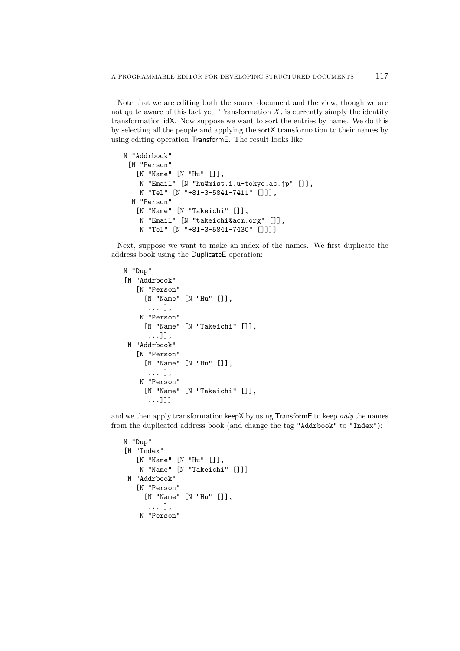Note that we are editing both the source document and the view, though we are not quite aware of this fact yet. Transformation  $X$ , is currently simply the identity transformation idX. Now suppose we want to sort the entries by name. We do this by selecting all the people and applying the sortX transformation to their names by using editing operation TransformE. The result looks like

```
N "Addrbook"
 [N "Person"
   [N "Name" [N "Hu" []],
   N "Email" [N "hu@mist.i.u-tokyo.ac.jp" []],
   N "Tel" [N "+81-3-5841-7411" []]],
 N "Person"
   [N "Name" [N "Takeichi" []],
   N "Email" [N "takeichi@acm.org" []],
   N "Tel" [N "+81-3-5841-7430" []]]]
```
Next, suppose we want to make an index of the names. We first duplicate the address book using the DuplicateE operation:

```
N "Dup"
[N "Addrbook"
   [N "Person"
     [N "Name" [N "Hu" []],
      ... ],
    N "Person"
     [N "Name" [N "Takeichi" []],
      ...]],
 N "Addrbook"
   [N "Person"
     [N "Name" [N "Hu" []],
      ... ],
    N "Person"
     [N "Name" [N "Takeichi" []],
      ...]]]
```
and we then apply transformation keepX by using TransformE to keep *only* the names from the duplicated address book (and change the tag "Addrbook" to "Index"):

```
N "Dup"
[N "Index"
   [N "Name" [N "Hu" []],
   N "Name" [N "Takeichi" []]]
N "Addrbook"
   [N "Person"
     [N "Name" [N "Hu" []],
      ... ],
    N "Person"
```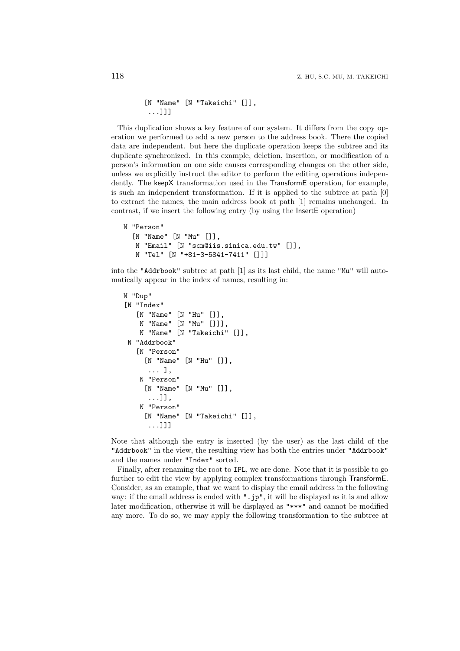[N "Name" [N "Takeichi" []], ...]]]

This duplication shows a key feature of our system. It differs from the copy operation we performed to add a new person to the address book. There the copied data are independent. but here the duplicate operation keeps the subtree and its duplicate synchronized. In this example, deletion, insertion, or modification of a person's information on one side causes corresponding changes on the other side, unless we explicitly instruct the editor to perform the editing operations independently. The keepX transformation used in the TransformE operation, for example, is such an independent transformation. If it is applied to the subtree at path [0] to extract the names, the main address book at path [1] remains unchanged. In contrast, if we insert the following entry (by using the InsertE operation)

```
N "Person"
  [N "Name" [N "Mu" []],
   N "Email" [N "scm@iis.sinica.edu.tw" []],
   N "Tel" [N "+81-3-5841-7411" []]]
```
into the "Addrbook" subtree at path [1] as its last child, the name "Mu" will automatically appear in the index of names, resulting in:

```
N "Dup"
[N "Index"
   [N "Name" [N "Hu" []],
    N "Name" [N "Mu" []]],
    N "Name" [N "Takeichi" []],
 N "Addrbook"
   [N "Person"
     [N "Name" [N "Hu" []],
      ... ],
    N "Person"
     [N "Name" [N "Mu" []],
      ...]],
    N "Person"
     [N "Name" [N "Takeichi" []],
      ...]]]
```
Note that although the entry is inserted (by the user) as the last child of the "Addrbook" in the view, the resulting view has both the entries under "Addrbook" and the names under "Index" sorted.

Finally, after renaming the root to IPL, we are done. Note that it is possible to go further to edit the view by applying complex transformations through TransformE. Consider, as an example, that we want to display the email address in the following way: if the email address is ended with ".jp", it will be displayed as it is and allow later modification, otherwise it will be displayed as "\*\*\*" and cannot be modified any more. To do so, we may apply the following transformation to the subtree at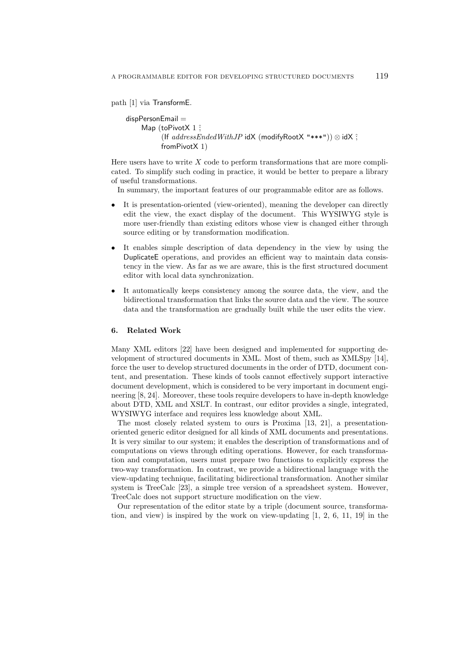path [1] via TransformE.

```
dispPersonEmail =Map (toPivotX 1 ?
          (If addressEndedWithJP idX (modifyRootX "***")) ⊗ idX ˆ;
          fromPivotX 1)
```
Here users have to write *X* code to perform transformations that are more complicated. To simplify such coding in practice, it would be better to prepare a library of useful transformations.

In summary, the important features of our programmable editor are as follows.

- It is presentation-oriented (view-oriented), meaning the developer can directly edit the view, the exact display of the document. This WYSIWYG style is more user-friendly than existing editors whose view is changed either through source editing or by transformation modification.
- It enables simple description of data dependency in the view by using the DuplicateE operations, and provides an efficient way to maintain data consistency in the view. As far as we are aware, this is the first structured document editor with local data synchronization.
- It automatically keeps consistency among the source data, the view, and the bidirectional transformation that links the source data and the view. The source data and the transformation are gradually built while the user edits the view.

#### **6. Related Work**

Many XML editors [22] have been designed and implemented for supporting development of structured documents in XML. Most of them, such as XMLSpy [14], force the user to develop structured documents in the order of DTD, document content, and presentation. These kinds of tools cannot effectively support interactive document development, which is considered to be very important in document engineering [8, 24]. Moreover, these tools require developers to have in-depth knowledge about DTD, XML and XSLT. In contrast, our editor provides a single, integrated, WYSIWYG interface and requires less knowledge about XML.

The most closely related system to ours is Proxima [13, 21], a presentationoriented generic editor designed for all kinds of XML documents and presentations. It is very similar to our system; it enables the description of transformations and of computations on views through editing operations. However, for each transformation and computation, users must prepare two functions to explicitly express the two-way transformation. In contrast, we provide a bidirectional language with the view-updating technique, facilitating bidirectional transformation. Another similar system is TreeCalc [23], a simple tree version of a spreadsheet system. However, TreeCalc does not support structure modification on the view.

Our representation of the editor state by a triple (document source, transformation, and view) is inspired by the work on view-updating  $\begin{bmatrix}1, 2, 6, 11, 19\end{bmatrix}$  in the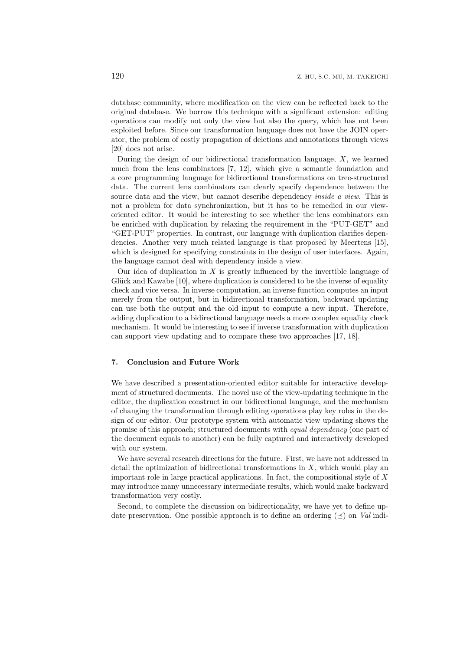database community, where modification on the view can be reflected back to the original database. We borrow this technique with a significant extension: editing operations can modify not only the view but also the query, which has not been exploited before. Since our transformation language does not have the JOIN operator, the problem of costly propagation of deletions and annotations through views [20] does not arise.

During the design of our bidirectional transformation language, *X*, we learned much from the lens combinators [7, 12], which give a semantic foundation and a core programming language for bidirectional transformations on tree-structured data. The current lens combinators can clearly specify dependence between the source data and the view, but cannot describe dependency *inside a view*. This is not a problem for data synchronization, but it has to be remedied in our vieworiented editor. It would be interesting to see whether the lens combinators can be enriched with duplication by relaxing the requirement in the "PUT-GET" and "GET-PUT" properties. In contrast, our language with duplication clarifies dependencies. Another very much related language is that proposed by Meertens [15], which is designed for specifying constraints in the design of user interfaces. Again, the language cannot deal with dependency inside a view.

Our idea of duplication in *X* is greatly influenced by the invertible language of Glück and Kawabe  $[10]$ , where duplication is considered to be the inverse of equality check and vice versa. In inverse computation, an inverse function computes an input merely from the output, but in bidirectional transformation, backward updating can use both the output and the old input to compute a new input. Therefore, adding duplication to a bidirectional language needs a more complex equality check mechanism. It would be interesting to see if inverse transformation with duplication can support view updating and to compare these two approaches [17, 18].

## **7. Conclusion and Future Work**

We have described a presentation-oriented editor suitable for interactive development of structured documents. The novel use of the view-updating technique in the editor, the duplication construct in our bidirectional language, and the mechanism of changing the transformation through editing operations play key roles in the design of our editor. Our prototype system with automatic view updating shows the promise of this approach; structured documents with *equal dependency* (one part of the document equals to another) can be fully captured and interactively developed with our system.

We have several research directions for the future. First, we have not addressed in detail the optimization of bidirectional transformations in *X*, which would play an important role in large practical applications. In fact, the compositional style of *X* may introduce many unnecessary intermediate results, which would make backward transformation very costly.

Second, to complete the discussion on bidirectionality, we have yet to define update preservation. One possible approach is to define an ordering (*≼*) on *Val* indi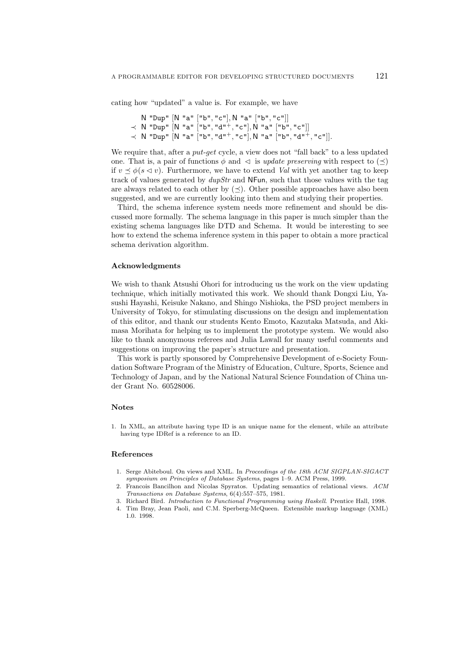cating how "updated" a value is. For example, we have

```
N "Dup" [N "a" ["b", "c"], N "a" ["b", "c"]]
≺ N "Dup" [N "a" ["b", "d"+, "c"], N "a" ["b", "c"]]
≺ N "Dup" [N "a" ["b", "d"+, "c"], N "a" ["b", "d"+, "c"]].
```
We require that, after a *put*-*get* cycle, a view does not "fall back" to a less updated one. That is, a pair of functions  $\phi$  and  $\vartriangleleft$  is *update preserving* with respect to  $(\preceq)$ if  $v \leq \phi(s \leq v)$ . Furthermore, we have to extend *Val* with yet another tag to keep track of values generated by *dupStr* and NFun, such that those values with the tag are always related to each other by  $(\prec)$ . Other possible approaches have also been suggested, and we are currently looking into them and studying their properties.

Third, the schema inference system needs more refinement and should be discussed more formally. The schema language in this paper is much simpler than the existing schema languages like DTD and Schema. It would be interesting to see how to extend the schema inference system in this paper to obtain a more practical schema derivation algorithm.

## **Acknowledgments**

We wish to thank Atsushi Ohori for introducing us the work on the view updating technique, which initially motivated this work. We should thank Dongxi Liu, Yasushi Hayashi, Keisuke Nakano, and Shingo Nishioka, the PSD project members in University of Tokyo, for stimulating discussions on the design and implementation of this editor, and thank our students Kento Emoto, Kazutaka Matsuda, and Akimasa Morihata for helping us to implement the prototype system. We would also like to thank anonymous referees and Julia Lawall for many useful comments and suggestions on improving the paper's structure and presentation.

This work is partly sponsored by Comprehensive Development of e-Society Foundation Software Program of the Ministry of Education, Culture, Sports, Science and Technology of Japan, and by the National Natural Science Foundation of China under Grant No. 60528006.

#### **Notes**

1. In XML, an attribute having type ID is an unique name for the element, while an attribute having type IDRef is a reference to an ID.

## **References**

- 1. Serge Abiteboul. On views and XML. In *Proceedings of the 18th ACM SIGPLAN-SIGACT symposium on Principles of Database Systems*, pages 1–9. ACM Press, 1999.
- 2. Francois Bancilhon and Nicolas Spyratos. Updating semantics of relational views. *ACM Transactions on Database Systems*, 6(4):557–575, 1981.
- 3. Richard Bird. *Introduction to Functional Programming using Haskell*. Prentice Hall, 1998.
- 4. Tim Bray, Jean Paoli, and C.M. Sperberg-McQueen. Extensible markup language (XML) 1.0. 1998.